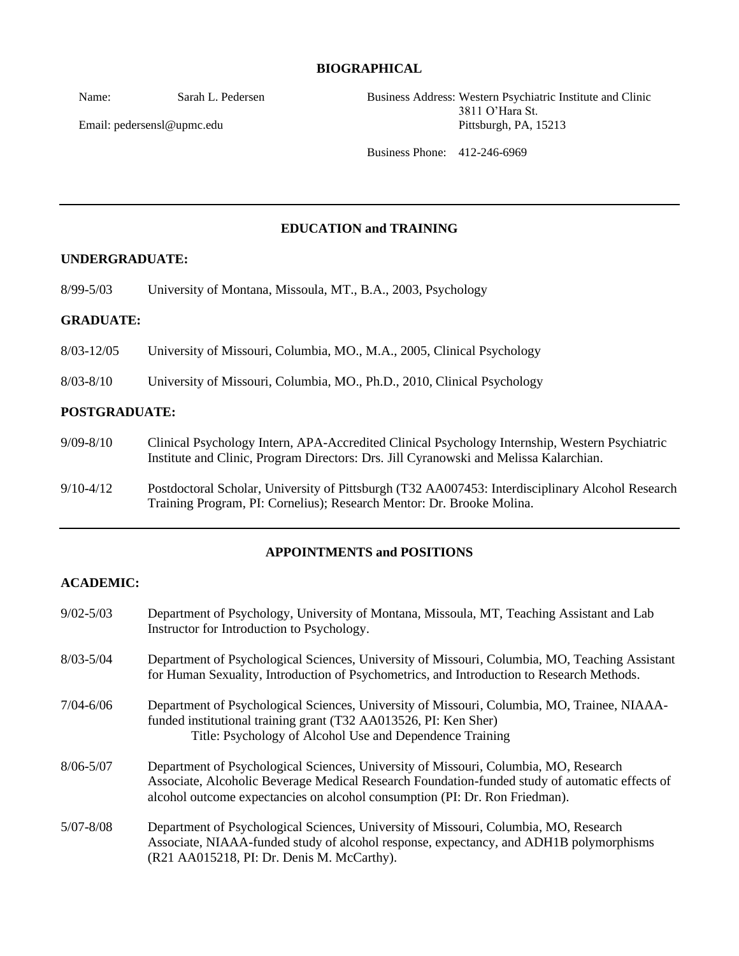#### **BIOGRAPHICAL**

Name: Sarah L. Pedersen

Email: pedersensl@upmc.edu

Business Address: Western Psychiatric Institute and Clinic 3811 O'Hara St. Pittsburgh, PA, 15213

Business Phone: 412-246-6969

### **EDUCATION and TRAINING**

#### **UNDERGRADUATE:**

8/99-5/03 University of Montana, Missoula, MT., B.A., 2003, Psychology

#### **GRADUATE:**

8/03-12/05 University of Missouri, Columbia, MO., M.A., 2005, Clinical Psychology

8/03-8/10 University of Missouri, Columbia, MO., Ph.D., 2010, Clinical Psychology

#### **POSTGRADUATE:**

- 9/09-8/10 Clinical Psychology Intern, APA-Accredited Clinical Psychology Internship, Western Psychiatric Institute and Clinic, Program Directors: Drs. Jill Cyranowski and Melissa Kalarchian.
- 9/10-4/12 Postdoctoral Scholar, University of Pittsburgh (T32 AA007453: Interdisciplinary Alcohol Research Training Program, PI: Cornelius); Research Mentor: Dr. Brooke Molina.

### **APPOINTMENTS and POSITIONS**

#### **ACADEMIC:**

| $9/02 - 5/03$ | Department of Psychology, University of Montana, Missoula, MT, Teaching Assistant and Lab<br>Instructor for Introduction to Psychology.                                                                                                                               |
|---------------|-----------------------------------------------------------------------------------------------------------------------------------------------------------------------------------------------------------------------------------------------------------------------|
| $8/03 - 5/04$ | Department of Psychological Sciences, University of Missouri, Columbia, MO, Teaching Assistant<br>for Human Sexuality, Introduction of Psychometrics, and Introduction to Research Methods.                                                                           |
| $7/04 - 6/06$ | Department of Psychological Sciences, University of Missouri, Columbia, MO, Trainee, NIAAA-<br>funded institutional training grant (T32 AA013526, PI: Ken Sher)<br>Title: Psychology of Alcohol Use and Dependence Training                                           |
| $8/06 - 5/07$ | Department of Psychological Sciences, University of Missouri, Columbia, MO, Research<br>Associate, Alcoholic Beverage Medical Research Foundation-funded study of automatic effects of<br>alcohol outcome expectancies on alcohol consumption (PI: Dr. Ron Friedman). |
| $5/07 - 8/08$ | Department of Psychological Sciences, University of Missouri, Columbia, MO, Research<br>Associate, NIAAA-funded study of alcohol response, expectancy, and ADH1B polymorphisms<br>(R21 AA015218, PI: Dr. Denis M. McCarthy).                                          |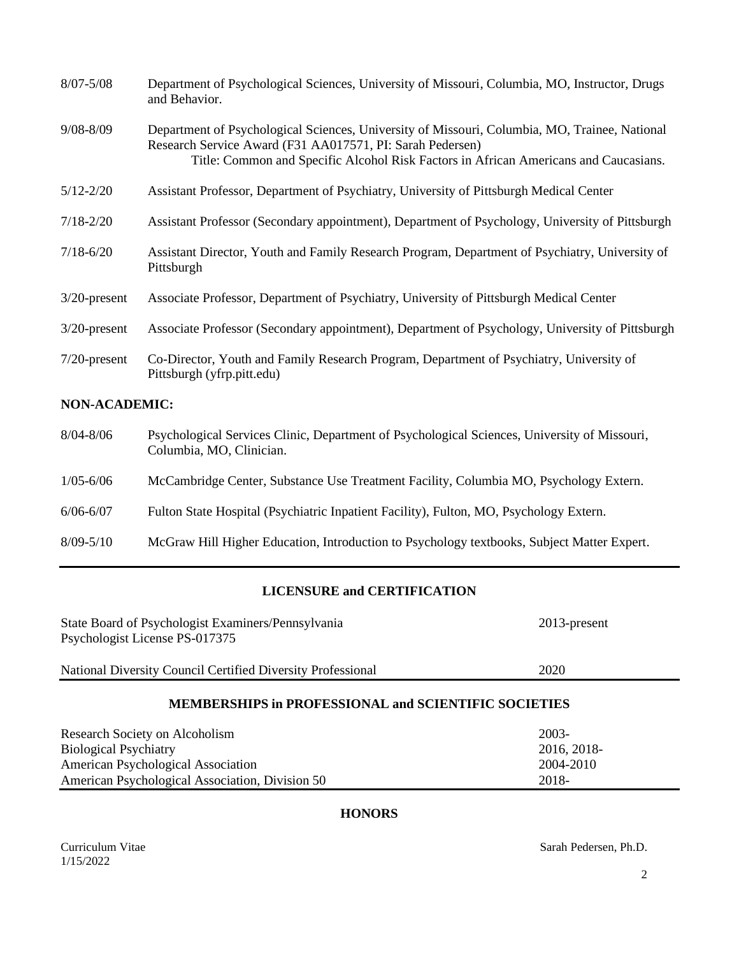| $8/07 - 5/08$        | Department of Psychological Sciences, University of Missouri, Columbia, MO, Instructor, Drugs<br>and Behavior.                                                                                                                                     |  |
|----------------------|----------------------------------------------------------------------------------------------------------------------------------------------------------------------------------------------------------------------------------------------------|--|
| $9/08 - 8/09$        | Department of Psychological Sciences, University of Missouri, Columbia, MO, Trainee, National<br>Research Service Award (F31 AA017571, PI: Sarah Pedersen)<br>Title: Common and Specific Alcohol Risk Factors in African Americans and Caucasians. |  |
| $5/12 - 2/20$        | Assistant Professor, Department of Psychiatry, University of Pittsburgh Medical Center                                                                                                                                                             |  |
| $7/18 - 2/20$        | Assistant Professor (Secondary appointment), Department of Psychology, University of Pittsburgh                                                                                                                                                    |  |
| $7/18 - 6/20$        | Assistant Director, Youth and Family Research Program, Department of Psychiatry, University of<br>Pittsburgh                                                                                                                                       |  |
| $3/20$ -present      | Associate Professor, Department of Psychiatry, University of Pittsburgh Medical Center                                                                                                                                                             |  |
| $3/20$ -present      | Associate Professor (Secondary appointment), Department of Psychology, University of Pittsburgh                                                                                                                                                    |  |
| $7/20$ -present      | Co-Director, Youth and Family Research Program, Department of Psychiatry, University of<br>Pittsburgh (yfrp.pitt.edu)                                                                                                                              |  |
| <b>NON-ACADEMIC:</b> |                                                                                                                                                                                                                                                    |  |
| $8/04 - 8/06$        | Psychological Services Clinic, Department of Psychological Sciences, University of Missouri,<br>Columbia, MO, Clinician.                                                                                                                           |  |
| $1/05 - 6/06$        | McCambridge Center, Substance Use Treatment Facility, Columbia MO, Psychology Extern.                                                                                                                                                              |  |
| $6/06 - 6/07$        | Fulton State Hospital (Psychiatric Inpatient Facility), Fulton, MO, Psychology Extern.                                                                                                                                                             |  |
| $8/09 - 5/10$        | McGraw Hill Higher Education, Introduction to Psychology textbooks, Subject Matter Expert.                                                                                                                                                         |  |

# **LICENSURE and CERTIFICATION**

| State Board of Psychologist Examiners/Pennsylvania<br>Psychologist License PS-017375 | $2013$ -present |
|--------------------------------------------------------------------------------------|-----------------|
| National Diversity Council Certified Diversity Professional                          | 2020            |
| <b>MEMBERSHIPS in PROFESSIONAL and SCIENTIFIC SOCIETIES</b>                          |                 |
| $2003 -$<br>Research Society on Alcoholism                                           |                 |

| Research Society on Alcoholism                  | $200.3-$    |
|-------------------------------------------------|-------------|
| <b>Biological Psychiatry</b>                    | 2016, 2018- |
| American Psychological Association              | 2004-2010   |
| American Psychological Association, Division 50 | 2018-       |

# **HONORS**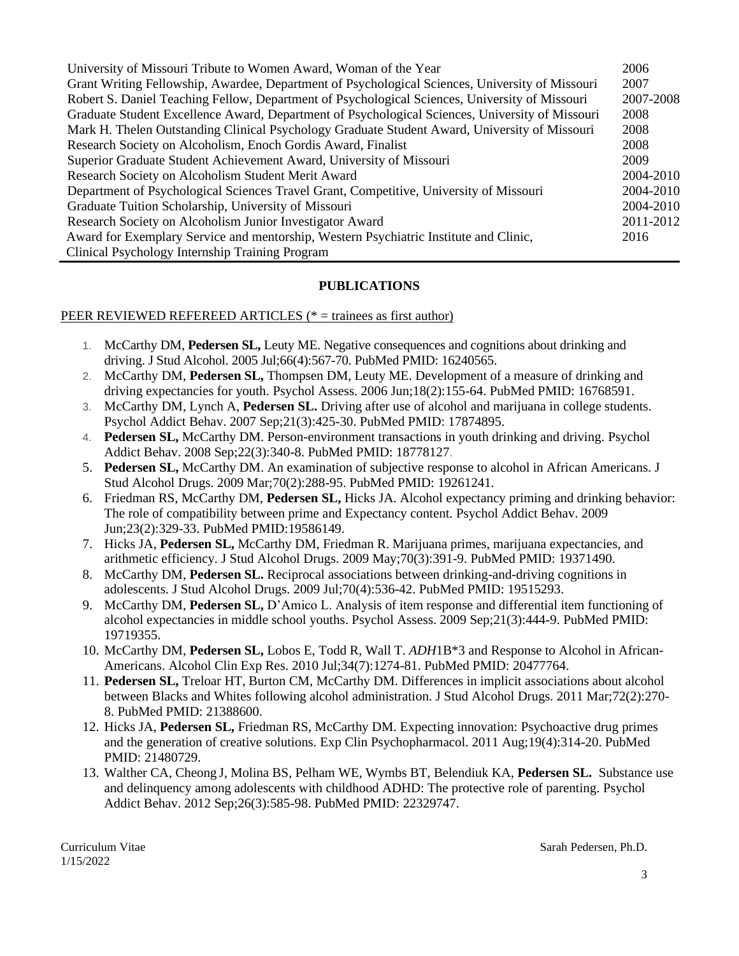| University of Missouri Tribute to Women Award, Woman of the Year                                | 2006      |
|-------------------------------------------------------------------------------------------------|-----------|
| Grant Writing Fellowship, Awardee, Department of Psychological Sciences, University of Missouri | 2007      |
| Robert S. Daniel Teaching Fellow, Department of Psychological Sciences, University of Missouri  | 2007-2008 |
| Graduate Student Excellence Award, Department of Psychological Sciences, University of Missouri | 2008      |
| Mark H. Thelen Outstanding Clinical Psychology Graduate Student Award, University of Missouri   | 2008      |
| Research Society on Alcoholism, Enoch Gordis Award, Finalist                                    | 2008      |
| Superior Graduate Student Achievement Award, University of Missouri                             | 2009      |
| Research Society on Alcoholism Student Merit Award                                              | 2004-2010 |
| Department of Psychological Sciences Travel Grant, Competitive, University of Missouri          | 2004-2010 |
| Graduate Tuition Scholarship, University of Missouri                                            | 2004-2010 |
| Research Society on Alcoholism Junior Investigator Award                                        | 2011-2012 |
| Award for Exemplary Service and mentorship, Western Psychiatric Institute and Clinic,           | 2016      |
| Clinical Psychology Internship Training Program                                                 |           |

### **PUBLICATIONS**

#### PEER REVIEWED REFEREED ARTICLES (\* = trainees as first author)

- 1. McCarthy DM, **Pedersen SL,** Leuty ME. Negative consequences and cognitions about drinking and driving. J Stud Alcohol. 2005 Jul;66(4):567-70. PubMed PMID: 16240565.
- 2. McCarthy DM, **Pedersen SL,** Thompsen DM, Leuty ME. Development of a measure of drinking and driving expectancies for youth. Psychol Assess. 2006 Jun;18(2):155-64. PubMed PMID: 16768591.
- 3. McCarthy DM, Lynch A, **Pedersen SL.** Driving after use of alcohol and marijuana in college students. Psychol Addict Behav. 2007 Sep;21(3):425-30. PubMed PMID: 17874895.
- 4. **Pedersen SL,** McCarthy DM. Person-environment transactions in youth drinking and driving. Psychol Addict Behav. 2008 Sep;22(3):340-8. PubMed PMID: 18778127.
- 5. **Pedersen SL,** McCarthy DM. An examination of subjective response to alcohol in African Americans. J Stud Alcohol Drugs. 2009 Mar;70(2):288-95. PubMed PMID: 19261241.
- 6. Friedman RS, McCarthy DM, **Pedersen SL,** Hicks JA. Alcohol expectancy priming and drinking behavior: The role of compatibility between prime and Expectancy content. Psychol Addict Behav. 2009 Jun;23(2):329-33. PubMed PMID:19586149.
- 7. Hicks JA, **Pedersen SL,** McCarthy DM, Friedman R. Marijuana primes, marijuana expectancies, and arithmetic efficiency. J Stud Alcohol Drugs. 2009 May;70(3):391-9. PubMed PMID: 19371490.
- 8. McCarthy DM, **Pedersen SL.** Reciprocal associations between drinking-and-driving cognitions in adolescents. J Stud Alcohol Drugs. 2009 Jul;70(4):536-42. PubMed PMID: 19515293.
- 9. McCarthy DM, **Pedersen SL,** D'Amico L. Analysis of item response and differential item functioning of alcohol expectancies in middle school youths. Psychol Assess. 2009 Sep;21(3):444-9. PubMed PMID: 19719355.
- 10. McCarthy DM, **Pedersen SL,** Lobos E, Todd R, Wall T. *ADH*1B\*3 and Response to Alcohol in African-Americans. Alcohol Clin Exp Res. 2010 Jul;34(7):1274-81. PubMed PMID: 20477764.
- 11. **Pedersen SL,** Treloar HT, Burton CM, McCarthy DM. Differences in implicit associations about alcohol between Blacks and Whites following alcohol administration. J Stud Alcohol Drugs. 2011 Mar;72(2):270- 8. PubMed PMID: 21388600.
- 12. Hicks JA, **Pedersen SL,** Friedman RS, McCarthy DM. Expecting innovation: Psychoactive drug primes and the generation of creative solutions. Exp Clin Psychopharmacol. 2011 Aug;19(4):314-20. PubMed PMID: 21480729.
- 13. Walther CA, Cheong J, Molina BS, Pelham WE, Wymbs BT, Belendiuk KA, **Pedersen SL.** Substance use and delinquency among adolescents with childhood ADHD: The protective role of parenting. Psychol Addict Behav. 2012 Sep;26(3):585-98. PubMed PMID: 22329747.

1/15/2022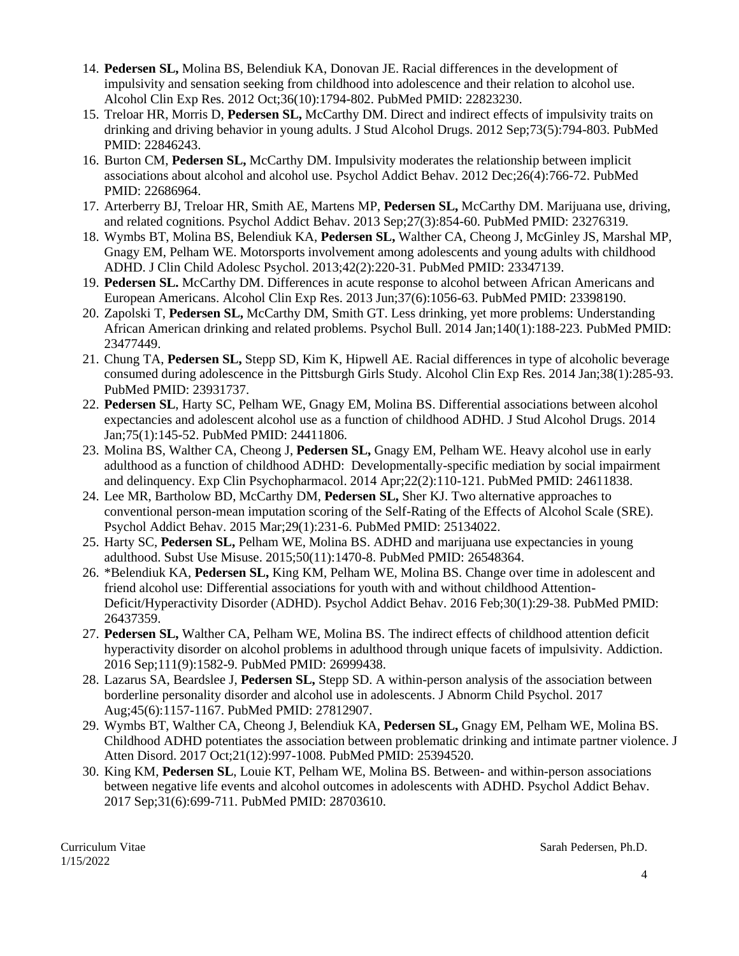- 14. **Pedersen SL,** Molina BS, Belendiuk KA, Donovan JE. Racial differences in the development of impulsivity and sensation seeking from childhood into adolescence and their relation to alcohol use. Alcohol Clin Exp Res. 2012 Oct;36(10):1794-802. PubMed PMID: 22823230.
- 15. Treloar HR, Morris D, **Pedersen SL,** McCarthy DM. Direct and indirect effects of impulsivity traits on drinking and driving behavior in young adults. J Stud Alcohol Drugs. 2012 Sep;73(5):794-803. PubMed PMID: 22846243.
- 16. Burton CM, **Pedersen SL,** McCarthy DM. Impulsivity moderates the relationship between implicit associations about alcohol and alcohol use. Psychol Addict Behav. 2012 Dec;26(4):766-72. PubMed PMID: 22686964.
- 17. Arterberry BJ, Treloar HR, Smith AE, Martens MP, **Pedersen SL,** McCarthy DM. Marijuana use, driving, and related cognitions. Psychol Addict Behav. 2013 Sep;27(3):854-60. PubMed PMID: 23276319.
- 18. Wymbs BT, Molina BS, Belendiuk KA, **Pedersen SL,** Walther CA, Cheong J, McGinley JS, Marshal MP, Gnagy EM, Pelham WE. Motorsports involvement among adolescents and young adults with childhood ADHD. J Clin Child Adolesc Psychol. 2013;42(2):220-31. PubMed PMID: 23347139.
- 19. **Pedersen SL.** McCarthy DM. Differences in acute response to alcohol between African Americans and European Americans. Alcohol Clin Exp Res. 2013 Jun;37(6):1056-63. PubMed PMID: 23398190.
- 20. Zapolski T, **Pedersen SL,** McCarthy DM, Smith GT. Less drinking, yet more problems: Understanding African American drinking and related problems. Psychol Bull. 2014 Jan;140(1):188-223. PubMed PMID: 23477449.
- 21. Chung TA, **Pedersen SL,** Stepp SD, Kim K, Hipwell AE. Racial differences in type of alcoholic beverage consumed during adolescence in the Pittsburgh Girls Study. Alcohol Clin Exp Res. 2014 Jan;38(1):285-93. PubMed PMID: 23931737.
- 22. **Pedersen SL**, Harty SC, Pelham WE, Gnagy EM, Molina BS. Differential associations between alcohol expectancies and adolescent alcohol use as a function of childhood ADHD. J Stud Alcohol Drugs. 2014 Jan;75(1):145-52. PubMed PMID: 24411806.
- 23. Molina BS, Walther CA, Cheong J, **Pedersen SL,** Gnagy EM, Pelham WE. Heavy alcohol use in early adulthood as a function of childhood ADHD: Developmentally-specific mediation by social impairment and delinquency. Exp Clin Psychopharmacol. 2014 Apr;22(2):110-121. PubMed PMID: 24611838.
- 24. Lee MR, Bartholow BD, McCarthy DM, **Pedersen SL,** Sher KJ. Two alternative approaches to conventional person-mean imputation scoring of the Self-Rating of the Effects of Alcohol Scale (SRE). Psychol Addict Behav. 2015 Mar;29(1):231-6. PubMed PMID: 25134022.
- 25. Harty SC, **Pedersen SL,** Pelham WE, Molina BS. ADHD and marijuana use expectancies in young adulthood. Subst Use Misuse. 2015;50(11):1470-8. PubMed PMID: 26548364.
- 26. \*Belendiuk KA, **Pedersen SL,** King KM, Pelham WE, Molina BS. Change over time in adolescent and friend alcohol use: Differential associations for youth with and without childhood Attention-Deficit/Hyperactivity Disorder (ADHD). Psychol Addict Behav. 2016 Feb;30(1):29-38. PubMed PMID: 26437359.
- 27. **Pedersen SL,** Walther CA, Pelham WE, Molina BS. The indirect effects of childhood attention deficit hyperactivity disorder on alcohol problems in adulthood through unique facets of impulsivity. Addiction. 2016 Sep;111(9):1582-9. PubMed PMID: 26999438.
- 28. Lazarus SA, Beardslee J, **Pedersen SL,** Stepp SD. A within-person analysis of the association between borderline personality disorder and alcohol use in adolescents. J Abnorm Child Psychol. 2017 Aug;45(6):1157-1167. PubMed PMID: 27812907.
- 29. Wymbs BT, Walther CA, Cheong J, Belendiuk KA, **Pedersen SL,** Gnagy EM, Pelham WE, Molina BS. [Childhood ADHD potentiates the association between problematic drinking and intimate partner violence.](http://www.ncbi.nlm.nih.gov/pubmed/25394520) J Atten Disord. 2017 Oct;21(12):997-1008. PubMed PMID: 25394520.
- 30. King KM, **Pedersen SL**, Louie KT, Pelham WE, Molina BS. Between- and within-person associations between negative life events and alcohol outcomes in adolescents with ADHD. Psychol Addict Behav. 2017 Sep;31(6):699-711. PubMed PMID: 28703610.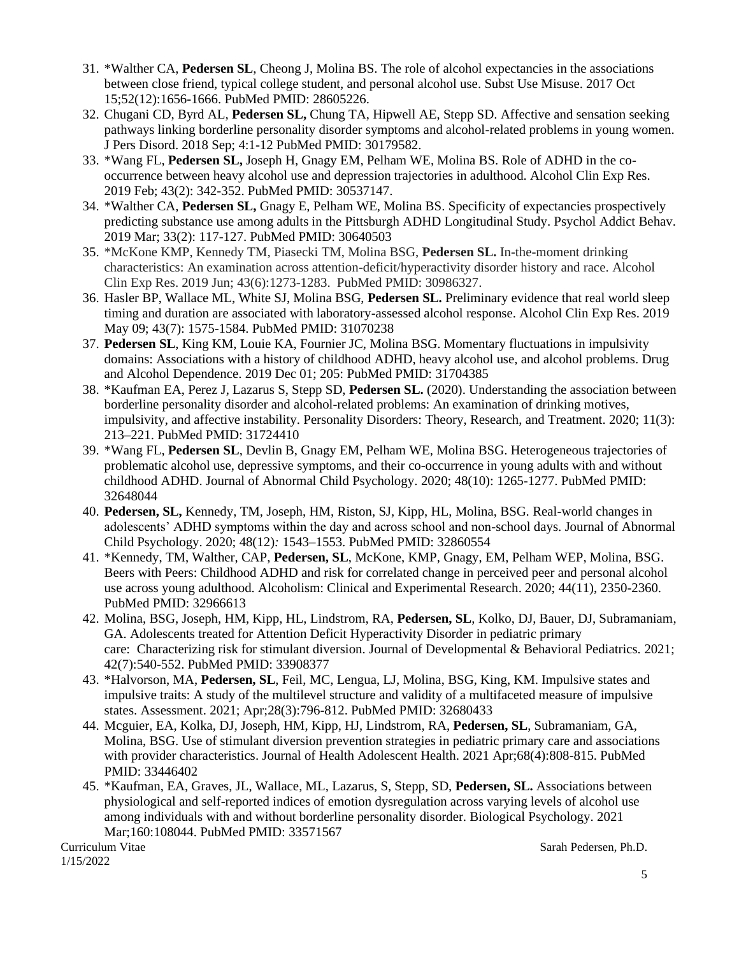- 31. \*Walther CA, **Pedersen SL**, Cheong J, Molina BS. The role of alcohol expectancies in the associations between close friend, typical college student, and personal alcohol use. Subst Use Misuse. 2017 Oct 15;52(12):1656-1666. PubMed PMID: 28605226.
- 32. Chugani CD, Byrd AL, **Pedersen SL,** Chung TA, Hipwell AE, Stepp SD. Affective and sensation seeking pathways linking borderline personality disorder symptoms and alcohol-related problems in young women. J Pers Disord. 2018 Sep; 4:1-12 PubMed PMID: 30179582.
- 33. \*Wang FL, **Pedersen SL,** Joseph H, Gnagy EM, Pelham WE, Molina BS. Role of ADHD in the cooccurrence between heavy alcohol use and depression trajectories in adulthood. Alcohol Clin Exp Res. 2019 Feb; 43(2): 342-352. PubMed PMID: 30537147.
- 34. \*Walther CA, **Pedersen SL,** Gnagy E, Pelham WE, Molina BS. Specificity of expectancies prospectively predicting substance use among adults in the Pittsburgh ADHD Longitudinal Study. Psychol Addict Behav. 2019 Mar; 33(2): 117-127. PubMed PMID: 30640503
- 35. \*McKone KMP, Kennedy TM, Piasecki TM, Molina BSG, **Pedersen SL.** In-the-moment drinking characteristics: An examination across attention-deficit/hyperactivity disorder history and race. Alcohol Clin Exp Res. 2019 Jun; 43(6):1273-1283. PubMed PMID: 30986327.
- 36. Hasler BP, Wallace ML, White SJ, Molina BSG, **Pedersen SL.** Preliminary evidence that real world sleep timing and duration are associated with laboratory-assessed alcohol response. Alcohol Clin Exp Res. 2019 May 09; 43(7): 1575-1584. PubMed PMID: 31070238
- 37. **Pedersen SL**, King KM, Louie KA, Fournier JC, Molina BSG. Momentary fluctuations in impulsivity domains: Associations with a history of childhood ADHD, heavy alcohol use, and alcohol problems. Drug and Alcohol Dependence. 2019 Dec 01; 205: PubMed PMID: 31704385
- 38. \*Kaufman EA, Perez J, Lazarus S, Stepp SD, **Pedersen SL.** (2020). Understanding the association between borderline personality disorder and alcohol-related problems: An examination of drinking motives, impulsivity, and affective instability. Personality Disorders: Theory, Research, and Treatment. 2020; 11(3): 213–221. PubMed PMID: 31724410
- 39. \*Wang FL, **Pedersen SL**, Devlin B, Gnagy EM, Pelham WE, Molina BSG. Heterogeneous trajectories of problematic alcohol use, depressive symptoms, and their co-occurrence in young adults with and without childhood ADHD. Journal of Abnormal Child Psychology. 2020; 48(10): 1265-1277. PubMed PMID: 32648044
- 40. **Pedersen, SL,** Kennedy, TM, Joseph, HM, Riston, SJ, Kipp, HL, Molina, BSG*.* Real-world changes in adolescents' ADHD symptoms within the day and across school and non-school days. Journal of Abnormal Child Psychology. 2020; 48(12)*:* 1543–1553. PubMed PMID: 32860554
- 41. \*Kennedy, TM, Walther, CAP, **Pedersen, SL**, McKone, KMP, Gnagy, EM, Pelham WEP, Molina, BSG. Beers with Peers: Childhood ADHD and risk for correlated change in perceived peer and personal alcohol use across young adulthood. Alcoholism: Clinical and Experimental Research. 2020; 44(11), 2350-2360. PubMed PMID: 32966613
- 42. Molina, BSG, Joseph, HM, Kipp, HL, Lindstrom, RA, **Pedersen, SL**, Kolko, DJ, Bauer, DJ, Subramaniam, GA. Adolescents treated for Attention Deficit Hyperactivity Disorder in pediatric primary care: Characterizing risk for stimulant diversion. Journal of Developmental & Behavioral Pediatrics. 2021; 42(7):540-552. PubMed PMID: 33908377
- 43. \*Halvorson, MA, **Pedersen, SL**, Feil, MC, Lengua, LJ, Molina, BSG, King, KM. Impulsive states and impulsive traits: A study of the multilevel structure and validity of a multifaceted measure of impulsive states. Assessment. 2021; Apr;28(3):796-812. PubMed PMID: 32680433
- 44. Mcguier, EA, Kolka, DJ, Joseph, HM, Kipp, HJ, Lindstrom, RA, **Pedersen, SL**, Subramaniam, GA, Molina, BSG. Use of stimulant diversion prevention strategies in pediatric primary care and associations with provider characteristics. Journal of Health Adolescent Health. 2021 Apr;68(4):808-815. PubMed PMID: 33446402
- 45. \*Kaufman, EA, Graves, JL, Wallace, ML, Lazarus, S, Stepp, SD, **Pedersen, SL.** Associations between physiological and self-reported indices of emotion dysregulation across varying levels of alcohol use among individuals with and without borderline personality disorder. Biological Psychology. 2021 Mar;160:108044. PubMed PMID: 33571567

1/15/2022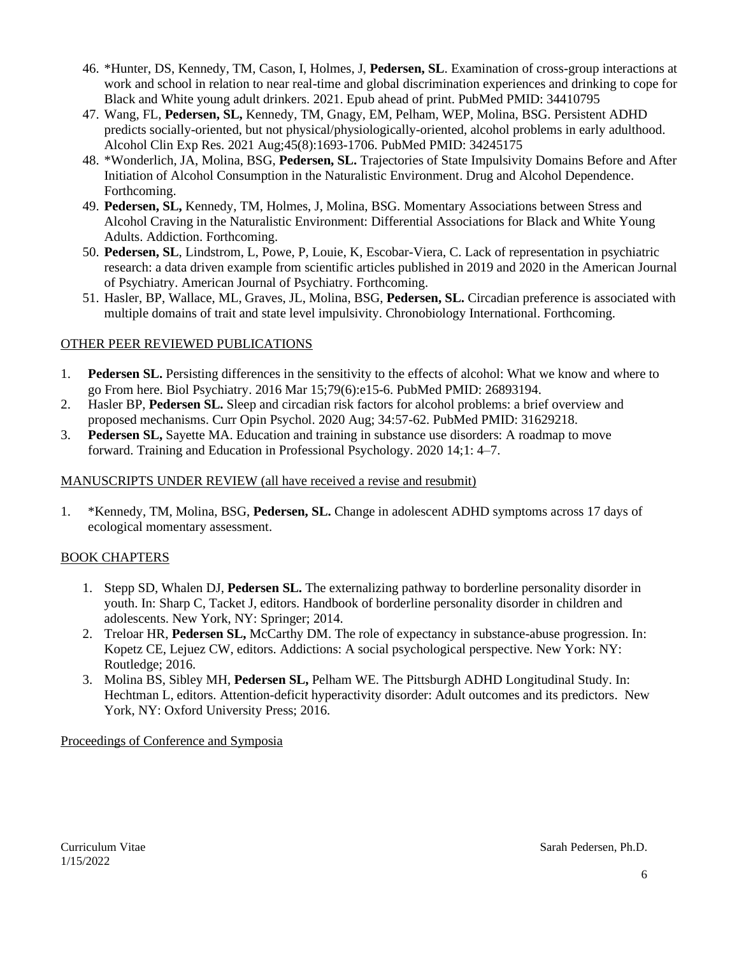- 46. \*Hunter, DS, Kennedy, TM, Cason, I, Holmes, J, **Pedersen, SL**. Examination of cross-group interactions at work and school in relation to near real-time and global discrimination experiences and drinking to cope for Black and White young adult drinkers. 2021. Epub ahead of print. PubMed PMID: 34410795
- 47. Wang, FL, **Pedersen, SL,** Kennedy, TM, Gnagy, EM, Pelham, WEP, Molina, BSG. Persistent ADHD predicts socially-oriented, but not physical/physiologically-oriented, alcohol problems in early adulthood. Alcohol Clin Exp Res. 2021 Aug;45(8):1693-1706. PubMed PMID: 34245175
- 48. \*Wonderlich, JA, Molina, BSG, **Pedersen, SL.** Trajectories of State Impulsivity Domains Before and After Initiation of Alcohol Consumption in the Naturalistic Environment. Drug and Alcohol Dependence. Forthcoming.
- 49. **Pedersen, SL,** Kennedy, TM, Holmes, J, Molina, BSG. Momentary Associations between Stress and Alcohol Craving in the Naturalistic Environment: Differential Associations for Black and White Young Adults. Addiction. Forthcoming.
- 50. **Pedersen, SL**, Lindstrom, L, Powe, P, Louie, K, Escobar-Viera, C. Lack of representation in psychiatric research: a data driven example from scientific articles published in 2019 and 2020 in the American Journal of Psychiatry. American Journal of Psychiatry. Forthcoming.
- 51. Hasler, BP, Wallace, ML, Graves, JL, Molina, BSG, **Pedersen, SL.** Circadian preference is associated with multiple domains of trait and state level impulsivity. Chronobiology International. Forthcoming.

## OTHER PEER REVIEWED PUBLICATIONS

- 1. **Pedersen SL.** Persisting differences in the sensitivity to the effects of alcohol: What we know and where to go From here. Biol Psychiatry. 2016 Mar 15;79(6):e15-6. PubMed PMID: 26893194.
- 2. Hasler BP, **Pedersen SL.** Sleep and circadian risk factors for alcohol problems: a brief overview and proposed mechanisms. Curr Opin Psychol. 2020 Aug; 34:57-62. PubMed PMID: 31629218.
- 3. **Pedersen SL,** Sayette MA. Education and training in substance use disorders: A roadmap to move forward. Training and Education in Professional Psychology. 2020 14;1: 4–7.

## MANUSCRIPTS UNDER REVIEW (all have received a revise and resubmit)

1. \*Kennedy, TM, Molina, BSG, **Pedersen, SL.** Change in adolescent ADHD symptoms across 17 days of ecological momentary assessment.

## BOOK CHAPTERS

- 1. Stepp SD, Whalen DJ, **Pedersen SL.** The externalizing pathway to borderline personality disorder in youth. In: Sharp C, Tacket J, editors. Handbook of borderline personality disorder in children and adolescents. New York, NY: Springer; 2014.
- 2. Treloar HR, **Pedersen SL,** McCarthy DM. The role of expectancy in substance-abuse progression. In: Kopetz CE, Lejuez CW, editors. Addictions: A social psychological perspective. New York: NY: Routledge; 2016.
- 3. Molina BS, Sibley MH, **Pedersen SL,** Pelham WE. The Pittsburgh ADHD Longitudinal Study. In: Hechtman L, editors. Attention-deficit hyperactivity disorder: Adult outcomes and its predictors. New York, NY: Oxford University Press; 2016.

## Proceedings of Conference and Symposia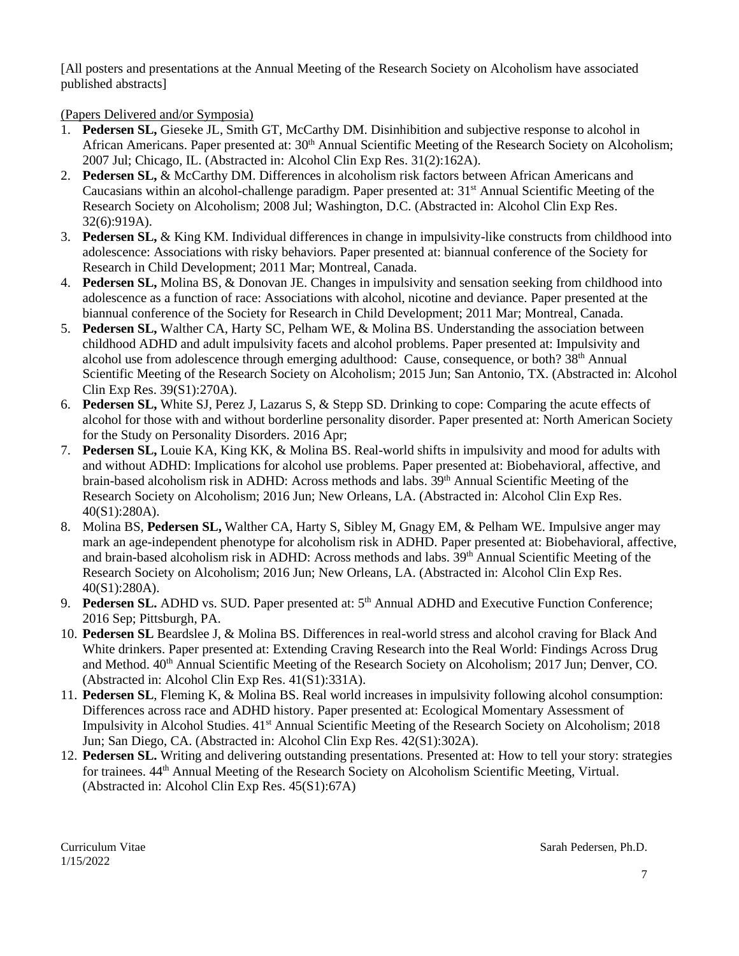[All posters and presentations at the Annual Meeting of the Research Society on Alcoholism have associated published abstracts]

(Papers Delivered and/or Symposia)

- 1. **Pedersen SL,** Gieseke JL, Smith GT, McCarthy DM. Disinhibition and subjective response to alcohol in African Americans. Paper presented at: 30<sup>th</sup> Annual Scientific Meeting of the Research Society on Alcoholism; 2007 Jul; Chicago, IL. (Abstracted in: Alcohol Clin Exp Res. 31(2):162A).
- 2. **Pedersen SL,** & McCarthy DM. Differences in alcoholism risk factors between African Americans and Caucasians within an alcohol-challenge paradigm. Paper presented at: 31<sup>st</sup> Annual Scientific Meeting of the Research Society on Alcoholism; 2008 Jul; Washington, D.C. (Abstracted in: Alcohol Clin Exp Res. 32(6):919A).
- 3. **Pedersen SL,** & King KM. Individual differences in change in impulsivity-like constructs from childhood into adolescence: Associations with risky behaviors. Paper presented at: biannual conference of the Society for Research in Child Development; 2011 Mar; Montreal, Canada.
- 4. **Pedersen SL,** Molina BS, & Donovan JE. Changes in impulsivity and sensation seeking from childhood into adolescence as a function of race: Associations with alcohol, nicotine and deviance. Paper presented at the biannual conference of the Society for Research in Child Development; 2011 Mar; Montreal, Canada.
- 5. **Pedersen SL,** Walther CA, Harty SC, Pelham WE, & Molina BS. Understanding the association between childhood ADHD and adult impulsivity facets and alcohol problems. Paper presented at: Impulsivity and alcohol use from adolescence through emerging adulthood: Cause, consequence, or both? 38<sup>th</sup> Annual Scientific Meeting of the Research Society on Alcoholism; 2015 Jun; San Antonio, TX. (Abstracted in: Alcohol Clin Exp Res. 39(S1):270A).
- 6. **Pedersen SL,** White SJ, Perez J, Lazarus S, & Stepp SD. Drinking to cope: Comparing the acute effects of alcohol for those with and without borderline personality disorder. Paper presented at: North American Society for the Study on Personality Disorders. 2016 Apr;
- 7. **Pedersen SL,** Louie KA, King KK, & Molina BS. Real-world shifts in impulsivity and mood for adults with and without ADHD: Implications for alcohol use problems. Paper presented at: Biobehavioral, affective, and brain-based alcoholism risk in ADHD: Across methods and labs. 39th Annual Scientific Meeting of the Research Society on Alcoholism; 2016 Jun; New Orleans, LA. (Abstracted in: Alcohol Clin Exp Res. 40(S1):280A).
- 8. Molina BS, **Pedersen SL,** Walther CA, Harty S, Sibley M, Gnagy EM, & Pelham WE. Impulsive anger may mark an age-independent phenotype for alcoholism risk in ADHD. Paper presented at: Biobehavioral, affective, and brain-based alcoholism risk in ADHD: Across methods and labs.  $39<sup>th</sup>$  Annual Scientific Meeting of the Research Society on Alcoholism; 2016 Jun; New Orleans, LA. (Abstracted in: Alcohol Clin Exp Res. 40(S1):280A).
- 9. Pedersen SL. ADHD vs. SUD. Paper presented at: 5<sup>th</sup> Annual ADHD and Executive Function Conference; 2016 Sep; Pittsburgh, PA.
- 10. **Pedersen SL** Beardslee J, & Molina BS. Differences in real-world stress and alcohol craving for Black And White drinkers. Paper presented at: Extending Craving Research into the Real World: Findings Across Drug and Method. 40<sup>th</sup> Annual Scientific Meeting of the Research Society on Alcoholism; 2017 Jun; Denver, CO. (Abstracted in: Alcohol Clin Exp Res. 41(S1):331A).
- 11. **Pedersen SL**, Fleming K, & Molina BS. Real world increases in impulsivity following alcohol consumption: Differences across race and ADHD history. Paper presented at: Ecological Momentary Assessment of Impulsivity in Alcohol Studies. 41st Annual Scientific Meeting of the Research Society on Alcoholism; 2018 Jun; San Diego, CA. (Abstracted in: Alcohol Clin Exp Res. 42(S1):302A).
- 12. **Pedersen SL.** Writing and delivering outstanding presentations. Presented at: How to tell your story: strategies for trainees. 44th Annual Meeting of the Research Society on Alcoholism Scientific Meeting, Virtual. (Abstracted in: Alcohol Clin Exp Res. 45(S1):67A)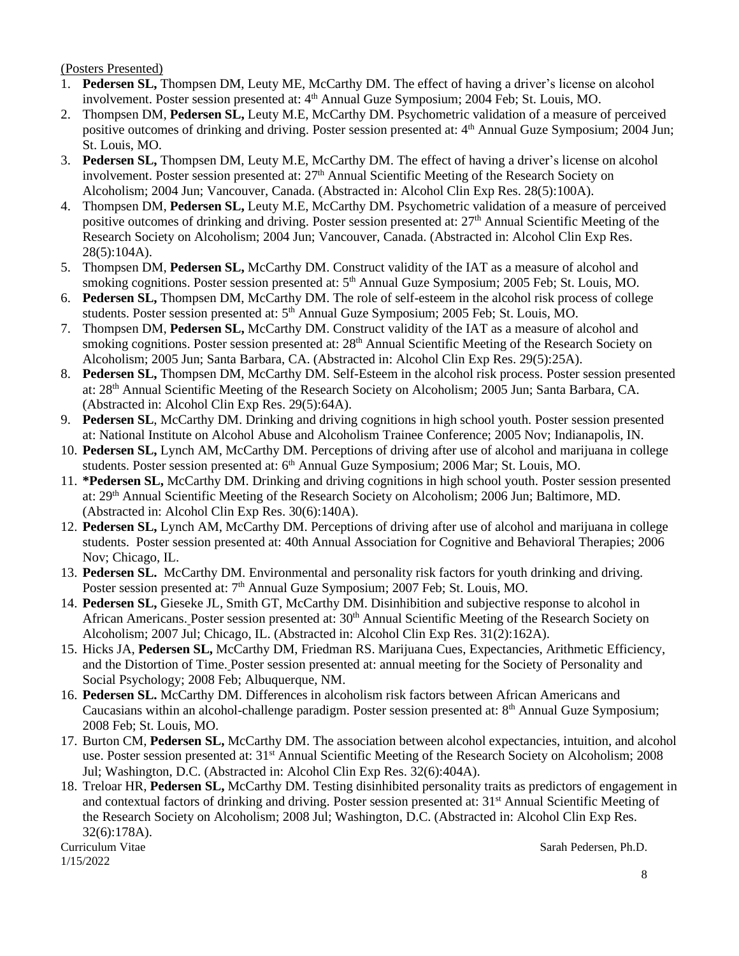(Posters Presented)

- 1. **Pedersen SL,** Thompsen DM, Leuty ME, McCarthy DM. The effect of having a driver's license on alcohol involvement. Poster session presented at: 4<sup>th</sup> Annual Guze Symposium; 2004 Feb; St. Louis, MO.
- 2. Thompsen DM, **Pedersen SL,** Leuty M.E, McCarthy DM. Psychometric validation of a measure of perceived positive outcomes of drinking and driving. Poster session presented at: 4<sup>th</sup> Annual Guze Symposium; 2004 Jun; St. Louis, MO.
- 3. **Pedersen SL,** Thompsen DM, Leuty M.E, McCarthy DM. The effect of having a driver's license on alcohol involvement. Poster session presented at: 27<sup>th</sup> Annual Scientific Meeting of the Research Society on Alcoholism; 2004 Jun; Vancouver, Canada. (Abstracted in: Alcohol Clin Exp Res. 28(5):100A).
- 4. Thompsen DM, **Pedersen SL,** Leuty M.E, McCarthy DM. Psychometric validation of a measure of perceived positive outcomes of drinking and driving. Poster session presented at: 27th Annual Scientific Meeting of the Research Society on Alcoholism; 2004 Jun; Vancouver, Canada. (Abstracted in: Alcohol Clin Exp Res. 28(5):104A).
- 5. Thompsen DM, **Pedersen SL,** McCarthy DM. Construct validity of the IAT as a measure of alcohol and smoking cognitions. Poster session presented at: 5<sup>th</sup> Annual Guze Symposium; 2005 Feb; St. Louis, MO.
- 6. **Pedersen SL,** Thompsen DM, McCarthy DM. The role of self-esteem in the alcohol risk process of college students. Poster session presented at: 5<sup>th</sup> Annual Guze Symposium; 2005 Feb; St. Louis, MO.
- 7. Thompsen DM, **Pedersen SL,** McCarthy DM. Construct validity of the IAT as a measure of alcohol and smoking cognitions. Poster session presented at: 28<sup>th</sup> Annual Scientific Meeting of the Research Society on Alcoholism; 2005 Jun; Santa Barbara, CA. (Abstracted in: Alcohol Clin Exp Res. 29(5):25A).
- 8. **Pedersen SL,** Thompsen DM, McCarthy DM. Self-Esteem in the alcohol risk process. Poster session presented at: 28th Annual Scientific Meeting of the Research Society on Alcoholism; 2005 Jun; Santa Barbara, CA. (Abstracted in: Alcohol Clin Exp Res. 29(5):64A).
- 9. **Pedersen SL**, McCarthy DM. Drinking and driving cognitions in high school youth. Poster session presented at: National Institute on Alcohol Abuse and Alcoholism Trainee Conference; 2005 Nov; Indianapolis, IN.
- 10. **Pedersen SL,** Lynch AM, McCarthy DM. Perceptions of driving after use of alcohol and marijuana in college students. Poster session presented at: 6<sup>th</sup> Annual Guze Symposium; 2006 Mar; St. Louis, MO.
- 11. **\*Pedersen SL,** McCarthy DM. Drinking and driving cognitions in high school youth. Poster session presented at: 29th Annual Scientific Meeting of the Research Society on Alcoholism; 2006 Jun; Baltimore, MD. (Abstracted in: Alcohol Clin Exp Res. 30(6):140A).
- 12. **Pedersen SL,** Lynch AM, McCarthy DM. Perceptions of driving after use of alcohol and marijuana in college students.Poster session presented at: 40th Annual Association for Cognitive and Behavioral Therapies; 2006 Nov; Chicago, IL.
- 13. **Pedersen SL.** McCarthy DM. Environmental and personality risk factors for youth drinking and driving*.*  Poster session presented at: 7<sup>th</sup> Annual Guze Symposium; 2007 Feb; St. Louis, MO.
- 14. **Pedersen SL,** Gieseke JL, Smith GT, McCarthy DM. Disinhibition and subjective response to alcohol in African Americans. Poster session presented at: 30<sup>th</sup> Annual Scientific Meeting of the Research Society on Alcoholism; 2007 Jul; Chicago, IL. (Abstracted in: Alcohol Clin Exp Res. 31(2):162A).
- 15. Hicks JA, **Pedersen SL,** McCarthy DM, Friedman RS. Marijuana Cues, Expectancies, Arithmetic Efficiency, and the Distortion of Time. Poster session presented at: annual meeting for the Society of Personality and Social Psychology; 2008 Feb; Albuquerque, NM.
- 16. **Pedersen SL.** McCarthy DM. Differences in alcoholism risk factors between African Americans and Caucasians within an alcohol-challenge paradigm. Poster session presented at: 8<sup>th</sup> Annual Guze Symposium; 2008 Feb; St. Louis, MO.
- 17. Burton CM, **Pedersen SL,** McCarthy DM. The association between alcohol expectancies, intuition, and alcohol use. Poster session presented at: 31<sup>st</sup> Annual Scientific Meeting of the Research Society on Alcoholism; 2008 Jul; Washington, D.C. (Abstracted in: Alcohol Clin Exp Res. 32(6):404A).
- 18. Treloar HR, **Pedersen SL,** McCarthy DM. Testing disinhibited personality traits as predictors of engagement in and contextual factors of drinking and driving. Poster session presented at: 31st Annual Scientific Meeting of the Research Society on Alcoholism; 2008 Jul; Washington, D.C. (Abstracted in: Alcohol Clin Exp Res. 32(6):178A).

1/15/2022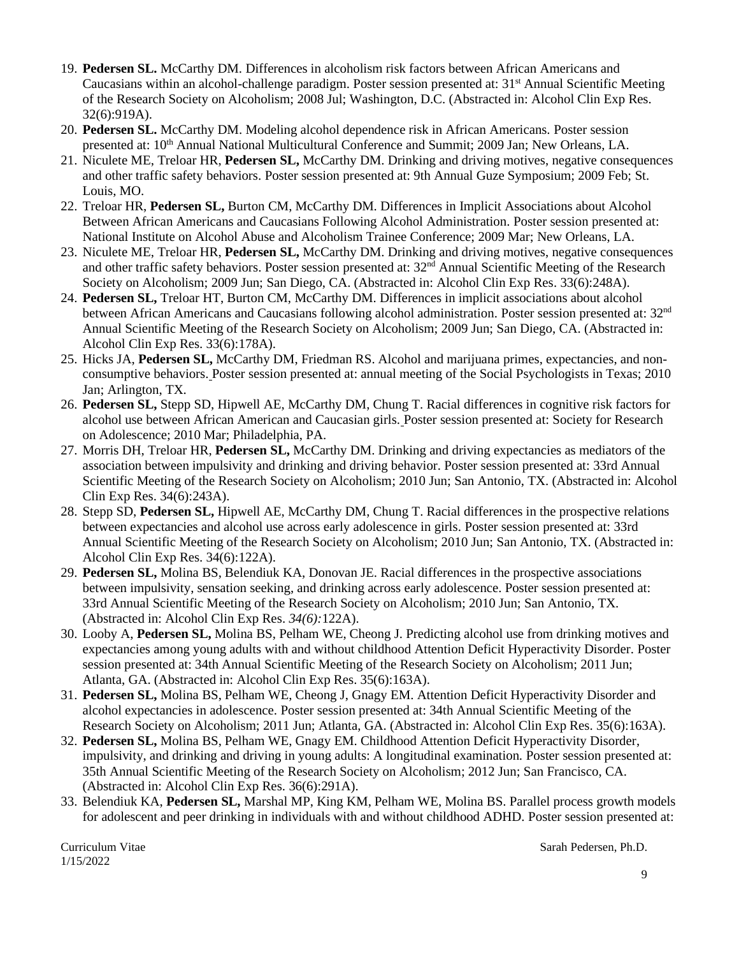- 19. **Pedersen SL.** McCarthy DM. Differences in alcoholism risk factors between African Americans and Caucasians within an alcohol-challenge paradigm. Poster session presented at: 31st Annual Scientific Meeting of the Research Society on Alcoholism; 2008 Jul; Washington, D.C. (Abstracted in: Alcohol Clin Exp Res. 32(6):919A).
- 20. **Pedersen SL.** McCarthy DM. Modeling alcohol dependence risk in African Americans. Poster session presented at: 10<sup>th</sup> Annual National Multicultural Conference and Summit; 2009 Jan; New Orleans, LA.
- 21. Niculete ME, Treloar HR, **Pedersen SL,** McCarthy DM. Drinking and driving motives, negative consequences and other traffic safety behaviors. Poster session presented at: 9th Annual Guze Symposium; 2009 Feb; St. Louis, MO.
- 22. Treloar HR, **Pedersen SL,** Burton CM, McCarthy DM. Differences in Implicit Associations about Alcohol Between African Americans and Caucasians Following Alcohol Administration. Poster session presented at: National Institute on Alcohol Abuse and Alcoholism Trainee Conference; 2009 Mar; New Orleans, LA.
- 23. Niculete ME, Treloar HR, **Pedersen SL,** McCarthy DM. Drinking and driving motives, negative consequences and other traffic safety behaviors. Poster session presented at: 32<sup>nd</sup> Annual Scientific Meeting of the Research Society on Alcoholism; 2009 Jun; San Diego, CA. (Abstracted in: Alcohol Clin Exp Res. 33(6):248A).
- 24. **Pedersen SL,** Treloar HT, Burton CM, McCarthy DM. Differences in implicit associations about alcohol between African Americans and Caucasians following alcohol administration. Poster session presented at: 32nd Annual Scientific Meeting of the Research Society on Alcoholism; 2009 Jun; San Diego, CA. (Abstracted in: Alcohol Clin Exp Res. 33(6):178A).
- 25. Hicks JA, **Pedersen SL,** McCarthy DM, Friedman RS. Alcohol and marijuana primes, expectancies, and nonconsumptive behaviors. Poster session presented at: annual meeting of the Social Psychologists in Texas; 2010 Jan; Arlington, TX.
- 26. **Pedersen SL,** Stepp SD, Hipwell AE, McCarthy DM, Chung T. Racial differences in cognitive risk factors for alcohol use between African American and Caucasian girls. Poster session presented at: Society for Research on Adolescence; 2010 Mar; Philadelphia, PA.
- 27. Morris DH, Treloar HR, **Pedersen SL,** McCarthy DM. Drinking and driving expectancies as mediators of the association between impulsivity and drinking and driving behavior. Poster session presented at: 33rd Annual Scientific Meeting of the Research Society on Alcoholism; 2010 Jun; San Antonio, TX. (Abstracted in: Alcohol Clin Exp Res. 34(6):243A).
- 28. Stepp SD, **Pedersen SL,** Hipwell AE, McCarthy DM, Chung T. Racial differences in the prospective relations between expectancies and alcohol use across early adolescence in girls. Poster session presented at: 33rd Annual Scientific Meeting of the Research Society on Alcoholism; 2010 Jun; San Antonio, TX. (Abstracted in: Alcohol Clin Exp Res. 34(6):122A).
- 29. **Pedersen SL,** Molina BS, Belendiuk KA, Donovan JE. Racial differences in the prospective associations between impulsivity, sensation seeking, and drinking across early adolescence. Poster session presented at: 33rd Annual Scientific Meeting of the Research Society on Alcoholism; 2010 Jun; San Antonio, TX. (Abstracted in: Alcohol Clin Exp Res. *34(6):*122A).
- 30. Looby A, **Pedersen SL,** Molina BS, Pelham WE, Cheong J. Predicting alcohol use from drinking motives and expectancies among young adults with and without childhood Attention Deficit Hyperactivity Disorder. Poster session presented at: 34th Annual Scientific Meeting of the Research Society on Alcoholism; 2011 Jun; Atlanta, GA. (Abstracted in: Alcohol Clin Exp Res. 35(6):163A).
- 31. **Pedersen SL,** Molina BS, Pelham WE, Cheong J, Gnagy EM. Attention Deficit Hyperactivity Disorder and alcohol expectancies in adolescence. Poster session presented at: 34th Annual Scientific Meeting of the Research Society on Alcoholism; 2011 Jun; Atlanta, GA. (Abstracted in: Alcohol Clin Exp Res. 35(6):163A).
- 32. **Pedersen SL,** Molina BS, Pelham WE, Gnagy EM. Childhood Attention Deficit Hyperactivity Disorder, impulsivity, and drinking and driving in young adults: A longitudinal examination. Poster session presented at: 35th Annual Scientific Meeting of the Research Society on Alcoholism; 2012 Jun; San Francisco, CA. (Abstracted in: Alcohol Clin Exp Res. 36(6):291A).
- 33. Belendiuk KA, **Pedersen SL,** Marshal MP, King KM, Pelham WE, Molina BS. Parallel process growth models for adolescent and peer drinking in individuals with and without childhood ADHD. Poster session presented at:

1/15/2022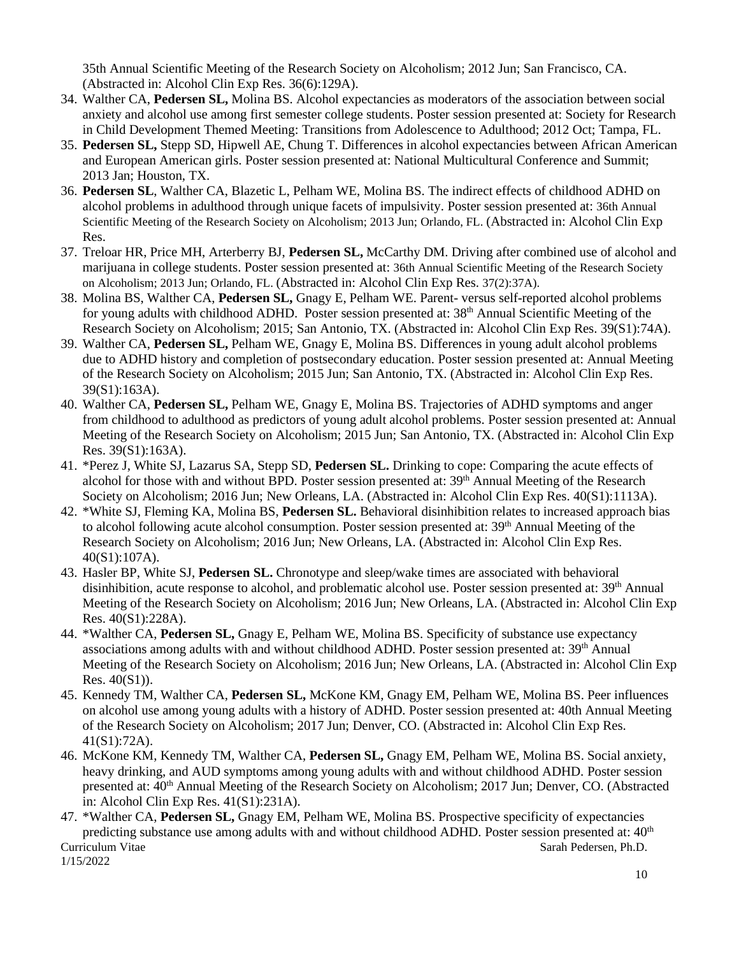35th Annual Scientific Meeting of the Research Society on Alcoholism; 2012 Jun; San Francisco, CA. (Abstracted in: Alcohol Clin Exp Res. 36(6):129A).

- 34. Walther CA, **Pedersen SL,** Molina BS. Alcohol expectancies as moderators of the association between social anxiety and alcohol use among first semester college students. Poster session presented at: Society for Research in Child Development Themed Meeting: Transitions from Adolescence to Adulthood; 2012 Oct; Tampa, FL.
- 35. **Pedersen SL,** Stepp SD, Hipwell AE, Chung T. Differences in alcohol expectancies between African American and European American girls. Poster session presented at: National Multicultural Conference and Summit; 2013 Jan; Houston, TX.
- 36. **Pedersen SL**, Walther CA, Blazetic L, Pelham WE, Molina BS. The indirect effects of childhood ADHD on alcohol problems in adulthood through unique facets of impulsivity. Poster session presented at: 36th Annual Scientific Meeting of the Research Society on Alcoholism; 2013 Jun; Orlando, FL. (Abstracted in: Alcohol Clin Exp Res.
- 37. Treloar HR, Price MH, Arterberry BJ, **Pedersen SL,** McCarthy DM. Driving after combined use of alcohol and marijuana in college students. Poster session presented at: 36th Annual Scientific Meeting of the Research Society on Alcoholism; 2013 Jun; Orlando, FL. (Abstracted in: Alcohol Clin Exp Res. 37(2):37A).
- 38. Molina BS, Walther CA, **Pedersen SL,** Gnagy E, Pelham WE. Parent- versus self-reported alcohol problems for young adults with childhood ADHD. Poster session presented at: 38<sup>th</sup> Annual Scientific Meeting of the Research Society on Alcoholism; 2015; San Antonio, TX. (Abstracted in: Alcohol Clin Exp Res. 39(S1):74A).
- 39. Walther CA, **Pedersen SL,** Pelham WE, Gnagy E, Molina BS. Differences in young adult alcohol problems due to ADHD history and completion of postsecondary education. Poster session presented at: Annual Meeting of the Research Society on Alcoholism; 2015 Jun; San Antonio, TX. (Abstracted in: Alcohol Clin Exp Res. 39(S1):163A).
- 40. Walther CA, **Pedersen SL,** Pelham WE, Gnagy E, Molina BS. Trajectories of ADHD symptoms and anger from childhood to adulthood as predictors of young adult alcohol problems. Poster session presented at: Annual Meeting of the Research Society on Alcoholism; 2015 Jun; San Antonio, TX. (Abstracted in: Alcohol Clin Exp Res. 39(S1):163A).
- 41. \*Perez J, White SJ, Lazarus SA, Stepp SD, **Pedersen SL.** Drinking to cope: Comparing the acute effects of alcohol for those with and without BPD. Poster session presented at: 39<sup>th</sup> Annual Meeting of the Research Society on Alcoholism; 2016 Jun; New Orleans, LA. (Abstracted in: Alcohol Clin Exp Res. 40(S1):1113A).
- 42. \*White SJ, Fleming KA, Molina BS, **Pedersen SL.** Behavioral disinhibition relates to increased approach bias to alcohol following acute alcohol consumption. Poster session presented at: 39<sup>th</sup> Annual Meeting of the Research Society on Alcoholism; 2016 Jun; New Orleans, LA. (Abstracted in: Alcohol Clin Exp Res. 40(S1):107A).
- 43. Hasler BP, White SJ, **Pedersen SL.** Chronotype and sleep/wake times are associated with behavioral disinhibition, acute response to alcohol, and problematic alcohol use. Poster session presented at: 39<sup>th</sup> Annual Meeting of the Research Society on Alcoholism; 2016 Jun; New Orleans, LA. (Abstracted in: Alcohol Clin Exp Res. 40(S1):228A).
- 44. \*Walther CA, **Pedersen SL,** Gnagy E, Pelham WE, Molina BS. Specificity of substance use expectancy associations among adults with and without childhood ADHD. Poster session presented at: 39<sup>th</sup> Annual Meeting of the Research Society on Alcoholism; 2016 Jun; New Orleans, LA. (Abstracted in: Alcohol Clin Exp Res. 40(S1)).
- 45. Kennedy TM, Walther CA, **Pedersen SL,** McKone KM, Gnagy EM, Pelham WE, Molina BS. Peer influences on alcohol use among young adults with a history of ADHD. Poster session presented at: 40th Annual Meeting of the Research Society on Alcoholism; 2017 Jun; Denver, CO. (Abstracted in: Alcohol Clin Exp Res. 41(S1):72A).
- 46. McKone KM, Kennedy TM, Walther CA, **Pedersen SL,** Gnagy EM, Pelham WE, Molina BS. Social anxiety, heavy drinking, and AUD symptoms among young adults with and without childhood ADHD. Poster session presented at:  $40<sup>th</sup>$  Annual Meeting of the Research Society on Alcoholism; 2017 Jun; Denver, CO. (Abstracted in: Alcohol Clin Exp Res. 41(S1):231A).
- Curriculum Vitae Sarah Pedersen, Ph.D. 1/15/2022 47. \*Walther CA, **Pedersen SL,** Gnagy EM, Pelham WE, Molina BS. Prospective specificity of expectancies predicting substance use among adults with and without childhood ADHD. Poster session presented at: 40<sup>th</sup>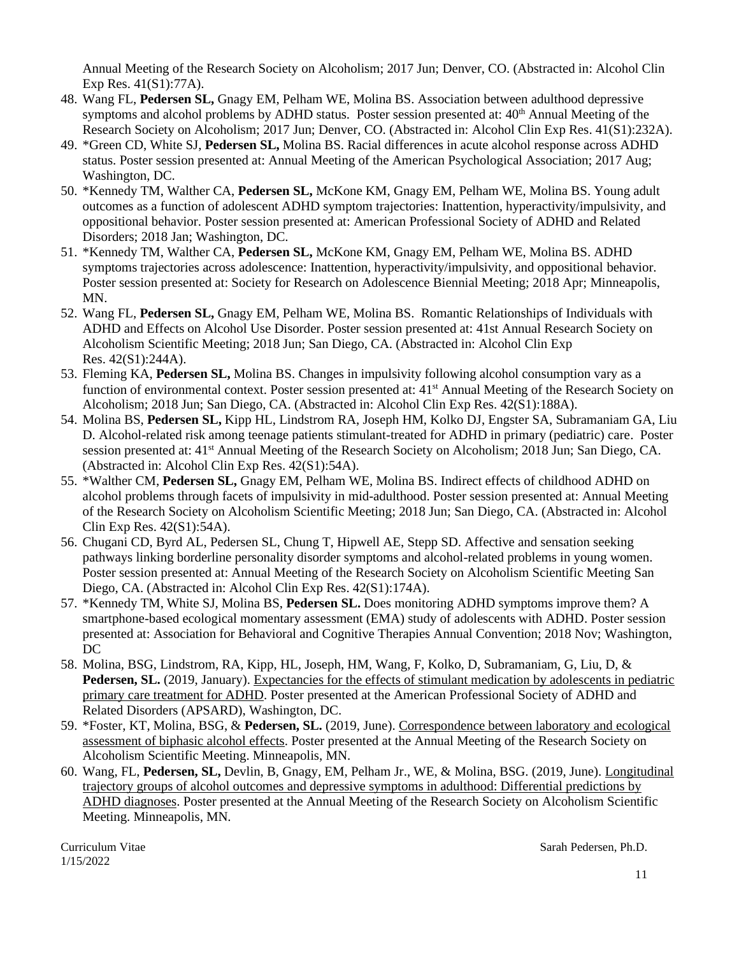Annual Meeting of the Research Society on Alcoholism; 2017 Jun; Denver, CO. (Abstracted in: Alcohol Clin Exp Res. 41(S1):77A).

- 48. Wang FL, **Pedersen SL,** Gnagy EM, Pelham WE, Molina BS. Association between adulthood depressive symptoms and alcohol problems by ADHD status. Poster session presented at: 40<sup>th</sup> Annual Meeting of the Research Society on Alcoholism; 2017 Jun; Denver, CO. (Abstracted in: Alcohol Clin Exp Res. 41(S1):232A).
- 49. \*Green CD, White SJ, **Pedersen SL,** Molina BS. Racial differences in acute alcohol response across ADHD status. Poster session presented at: Annual Meeting of the American Psychological Association; 2017 Aug; Washington, DC.
- 50. \*Kennedy TM, Walther CA, **Pedersen SL,** McKone KM, Gnagy EM, Pelham WE, Molina BS. Young adult outcomes as a function of adolescent ADHD symptom trajectories: Inattention, hyperactivity/impulsivity, and oppositional behavior. Poster session presented at: American Professional Society of ADHD and Related Disorders; 2018 Jan; Washington, DC.
- 51. \*Kennedy TM, Walther CA, **Pedersen SL,** McKone KM, Gnagy EM, Pelham WE, Molina BS. ADHD symptoms trajectories across adolescence: Inattention, hyperactivity/impulsivity, and oppositional behavior. Poster session presented at: Society for Research on Adolescence Biennial Meeting; 2018 Apr; Minneapolis, MN.
- 52. Wang FL, **Pedersen SL,** Gnagy EM, Pelham WE, Molina BS. Romantic Relationships of Individuals with ADHD and Effects on Alcohol Use Disorder. Poster session presented at: 41st Annual Research Society on Alcoholism Scientific Meeting; 2018 Jun; San Diego, CA. (Abstracted in: Alcohol Clin Exp Res. 42(S1):244A).
- 53. Fleming KA, **Pedersen SL,** Molina BS. Changes in impulsivity following alcohol consumption vary as a function of environmental context. Poster session presented at: 41<sup>st</sup> Annual Meeting of the Research Society on Alcoholism; 2018 Jun; San Diego, CA. (Abstracted in: Alcohol Clin Exp Res. 42(S1):188A).
- 54. Molina BS, **Pedersen SL,** Kipp HL, Lindstrom RA, Joseph HM, Kolko DJ, Engster SA, Subramaniam GA, Liu D. Alcohol-related risk among teenage patients stimulant-treated for ADHD in primary (pediatric) care. Poster session presented at: 41<sup>st</sup> Annual Meeting of the Research Society on Alcoholism; 2018 Jun; San Diego, CA. (Abstracted in: Alcohol Clin Exp Res. 42(S1):54A).
- 55. \*Walther CM, **Pedersen SL,** Gnagy EM, Pelham WE, Molina BS. Indirect effects of childhood ADHD on alcohol problems through facets of impulsivity in mid-adulthood. Poster session presented at: Annual Meeting of the Research Society on Alcoholism Scientific Meeting; 2018 Jun; San Diego, CA. (Abstracted in: Alcohol Clin Exp Res. 42(S1):54A).
- 56. Chugani CD, Byrd AL, Pedersen SL, Chung T, Hipwell AE, Stepp SD. Affective and sensation seeking pathways linking borderline personality disorder symptoms and alcohol-related problems in young women. Poster session presented at: Annual Meeting of the Research Society on Alcoholism Scientific Meeting San Diego, CA. (Abstracted in: Alcohol Clin Exp Res. 42(S1):174A).
- 57. \*Kennedy TM, White SJ, Molina BS, **Pedersen SL.** Does monitoring ADHD symptoms improve them? A smartphone-based ecological momentary assessment (EMA) study of adolescents with ADHD. Poster session presented at: Association for Behavioral and Cognitive Therapies Annual Convention; 2018 Nov; Washington, DC
- 58. Molina, BSG, Lindstrom, RA, Kipp, HL, Joseph, HM, Wang, F, Kolko, D, Subramaniam, G, Liu, D, & **Pedersen, SL.** (2019, January). Expectancies for the effects of stimulant medication by adolescents in pediatric primary care treatment for ADHD. Poster presented at the American Professional Society of ADHD and Related Disorders (APSARD), Washington, DC.
- 59. \*Foster, KT, Molina, BSG, & **Pedersen, SL.** (2019, June). Correspondence between laboratory and ecological assessment of biphasic alcohol effects. Poster presented at the Annual Meeting of the Research Society on Alcoholism Scientific Meeting. Minneapolis, MN.
- 60. Wang, FL, **Pedersen, SL,** Devlin, B, Gnagy, EM, Pelham Jr., WE, & Molina, BSG. (2019, June). Longitudinal trajectory groups of alcohol outcomes and depressive symptoms in adulthood: Differential predictions by ADHD diagnoses. Poster presented at the Annual Meeting of the Research Society on Alcoholism Scientific Meeting. Minneapolis, MN.

1/15/2022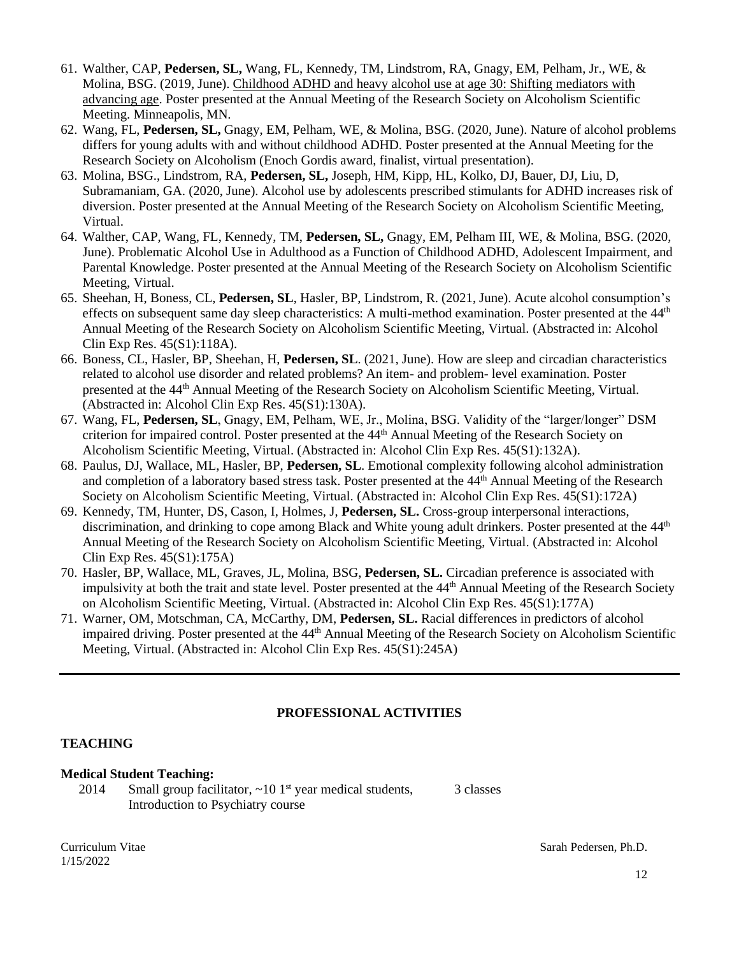- 61. Walther, CAP, **Pedersen, SL,** Wang, FL, Kennedy, TM, Lindstrom, RA, Gnagy, EM, Pelham, Jr., WE, & Molina, BSG. (2019, June). Childhood ADHD and heavy alcohol use at age 30: Shifting mediators with advancing age. Poster presented at the Annual Meeting of the Research Society on Alcoholism Scientific Meeting. Minneapolis, MN.
- 62. Wang, FL, **Pedersen, SL,** Gnagy, EM, Pelham, WE, & Molina, BSG. (2020, June). Nature of alcohol problems differs for young adults with and without childhood ADHD. Poster presented at the Annual Meeting for the Research Society on Alcoholism (Enoch Gordis award, finalist, virtual presentation).
- 63. Molina, BSG., Lindstrom, RA, **Pedersen, SL,** Joseph, HM, Kipp, HL, Kolko, DJ, Bauer, DJ, Liu, D, Subramaniam, GA. (2020, June). Alcohol use by adolescents prescribed stimulants for ADHD increases risk of diversion. Poster presented at the Annual Meeting of the Research Society on Alcoholism Scientific Meeting, Virtual.
- 64. Walther, CAP, Wang, FL, Kennedy, TM, **Pedersen, SL,** Gnagy, EM, Pelham III, WE, & Molina, BSG. (2020, June). Problematic Alcohol Use in Adulthood as a Function of Childhood ADHD, Adolescent Impairment, and Parental Knowledge. Poster presented at the Annual Meeting of the Research Society on Alcoholism Scientific Meeting, Virtual.
- 65. Sheehan, H, Boness, CL, **Pedersen, SL**, Hasler, BP, Lindstrom, R. (2021, June). Acute alcohol consumption's effects on subsequent same day sleep characteristics: A multi-method examination. Poster presented at the 44<sup>th</sup> Annual Meeting of the Research Society on Alcoholism Scientific Meeting, Virtual. (Abstracted in: Alcohol Clin Exp Res. 45(S1):118A).
- 66. Boness, CL, Hasler, BP, Sheehan, H, **Pedersen, SL**. (2021, June). How are sleep and circadian characteristics related to alcohol use disorder and related problems? An item- and problem- level examination. Poster presented at the 44<sup>th</sup> Annual Meeting of the Research Society on Alcoholism Scientific Meeting, Virtual. (Abstracted in: Alcohol Clin Exp Res. 45(S1):130A).
- 67. Wang, FL, **Pedersen, SL**, Gnagy, EM, Pelham, WE, Jr., Molina, BSG. Validity of the "larger/longer" DSM criterion for impaired control. Poster presented at the 44<sup>th</sup> Annual Meeting of the Research Society on Alcoholism Scientific Meeting, Virtual. (Abstracted in: Alcohol Clin Exp Res. 45(S1):132A).
- 68. Paulus, DJ, Wallace, ML, Hasler, BP, **Pedersen, SL**. Emotional complexity following alcohol administration and completion of a laboratory based stress task. Poster presented at the 44th Annual Meeting of the Research Society on Alcoholism Scientific Meeting, Virtual. (Abstracted in: Alcohol Clin Exp Res. 45(S1):172A)
- 69. Kennedy, TM, Hunter, DS, Cason, I, Holmes, J, **Pedersen, SL.** Cross-group interpersonal interactions, discrimination, and drinking to cope among Black and White young adult drinkers. Poster presented at the 44<sup>th</sup> Annual Meeting of the Research Society on Alcoholism Scientific Meeting, Virtual. (Abstracted in: Alcohol Clin Exp Res. 45(S1):175A)
- 70. Hasler, BP, Wallace, ML, Graves, JL, Molina, BSG, **Pedersen, SL.** Circadian preference is associated with impulsivity at both the trait and state level. Poster presented at the 44<sup>th</sup> Annual Meeting of the Research Society on Alcoholism Scientific Meeting, Virtual. (Abstracted in: Alcohol Clin Exp Res. 45(S1):177A)
- 71. Warner, OM, Motschman, CA, McCarthy, DM, **Pedersen, SL.** Racial differences in predictors of alcohol impaired driving. Poster presented at the 44<sup>th</sup> Annual Meeting of the Research Society on Alcoholism Scientific Meeting, Virtual. (Abstracted in: Alcohol Clin Exp Res. 45(S1):245A)

## **PROFESSIONAL ACTIVITIES**

## **TEACHING**

#### **Medical Student Teaching:**

2014 Small group facilitator,  $\sim$  10 1<sup>st</sup> year medical students, Introduction to Psychiatry course

3 classes

1/15/2022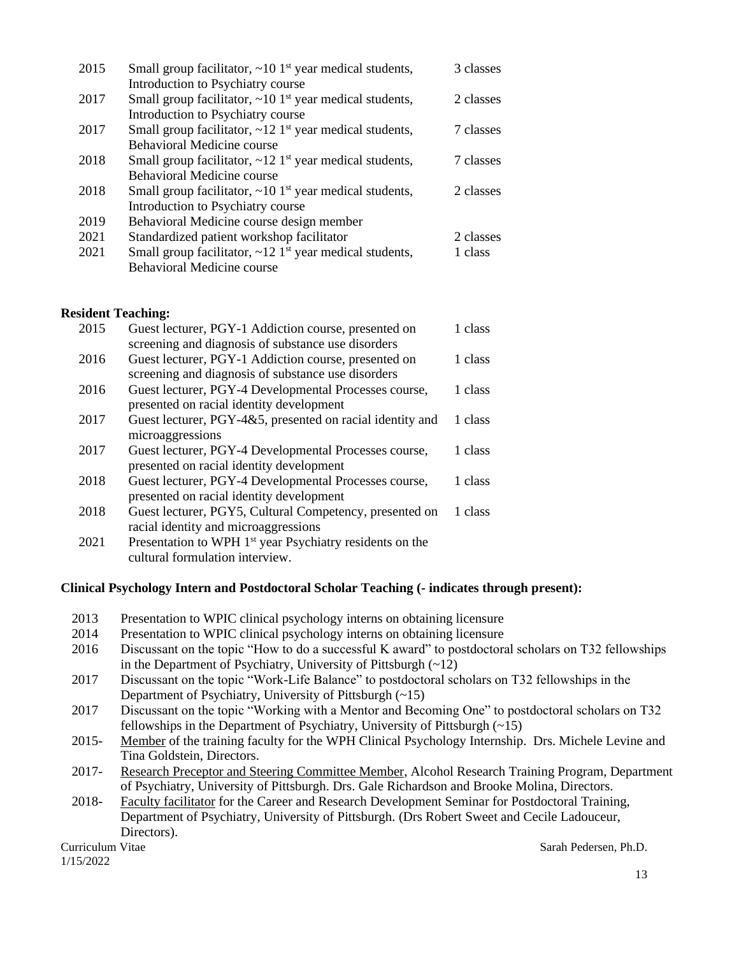| 2015 | Small group facilitator, $\sim 10^{-1}$ year medical students,            | 3 classes |
|------|---------------------------------------------------------------------------|-----------|
|      | Introduction to Psychiatry course                                         |           |
| 2017 | Small group facilitator, $\sim 10$ 1 <sup>st</sup> year medical students, | 2 classes |
|      | Introduction to Psychiatry course                                         |           |
| 2017 | Small group facilitator, $\sim$ 12 1 <sup>st</sup> year medical students, | 7 classes |
|      | Behavioral Medicine course                                                |           |
| 2018 | Small group facilitator, $\sim$ 12 1 <sup>st</sup> year medical students, | 7 classes |
|      | <b>Behavioral Medicine course</b>                                         |           |
| 2018 | Small group facilitator, $\sim 10$ 1 <sup>st</sup> year medical students, | 2 classes |
|      | Introduction to Psychiatry course                                         |           |
| 2019 | Behavioral Medicine course design member                                  |           |
| 2021 | Standardized patient workshop facilitator                                 | 2 classes |
| 2021 | Small group facilitator, $\sim$ 12 1 <sup>st</sup> year medical students, | 1 class   |
|      | Behavioral Medicine course                                                |           |

#### **Resident Teaching:**

| 2015 | Guest lecturer, PGY-1 Addiction course, presented on                 | 1 class |
|------|----------------------------------------------------------------------|---------|
|      | screening and diagnosis of substance use disorders                   |         |
| 2016 | Guest lecturer, PGY-1 Addiction course, presented on                 | 1 class |
|      | screening and diagnosis of substance use disorders                   |         |
| 2016 | Guest lecturer, PGY-4 Developmental Processes course,                | 1 class |
|      | presented on racial identity development                             |         |
| 2017 | Guest lecturer, PGY-4&5, presented on racial identity and            | 1 class |
|      | microaggressions                                                     |         |
| 2017 | Guest lecturer, PGY-4 Developmental Processes course,                | 1 class |
|      | presented on racial identity development                             |         |
| 2018 | Guest lecturer, PGY-4 Developmental Processes course,                | 1 class |
|      | presented on racial identity development                             |         |
| 2018 | Guest lecturer, PGY5, Cultural Competency, presented on              | 1 class |
|      | racial identity and microaggressions                                 |         |
| 2021 | Presentation to WPH 1 <sup>st</sup> year Psychiatry residents on the |         |
|      |                                                                      |         |

cultural formulation interview.

#### **Clinical Psychology Intern and Postdoctoral Scholar Teaching (- indicates through present):**

| 2013<br>Presentation to WPIC clinical psychology interns on obtaining licensure |  |
|---------------------------------------------------------------------------------|--|
|---------------------------------------------------------------------------------|--|

- 2014 Presentation to WPIC clinical psychology interns on obtaining licensure
- 2016 Discussant on the topic "How to do a successful K award" to postdoctoral scholars on T32 fellowships in the Department of Psychiatry, University of Pittsburgh  $(\sim 12)$
- 2017 Discussant on the topic "Work-Life Balance" to postdoctoral scholars on T32 fellowships in the Department of Psychiatry, University of Pittsburgh (~15)
- 2017 Discussant on the topic "Working with a Mentor and Becoming One" to postdoctoral scholars on T32 fellowships in the Department of Psychiatry, University of Pittsburgh  $(-15)$
- 2015- Member of the training faculty for the WPH Clinical Psychology Internship. Drs. Michele Levine and Tina Goldstein, Directors.
- 2017- Research Preceptor and Steering Committee Member, Alcohol Research Training Program, Department of Psychiatry, University of Pittsburgh. Drs. Gale Richardson and Brooke Molina, Directors.
- 2018- Faculty facilitator for the Career and Research Development Seminar for Postdoctoral Training, Department of Psychiatry, University of Pittsburgh. (Drs Robert Sweet and Cecile Ladouceur, Directors).

1/15/2022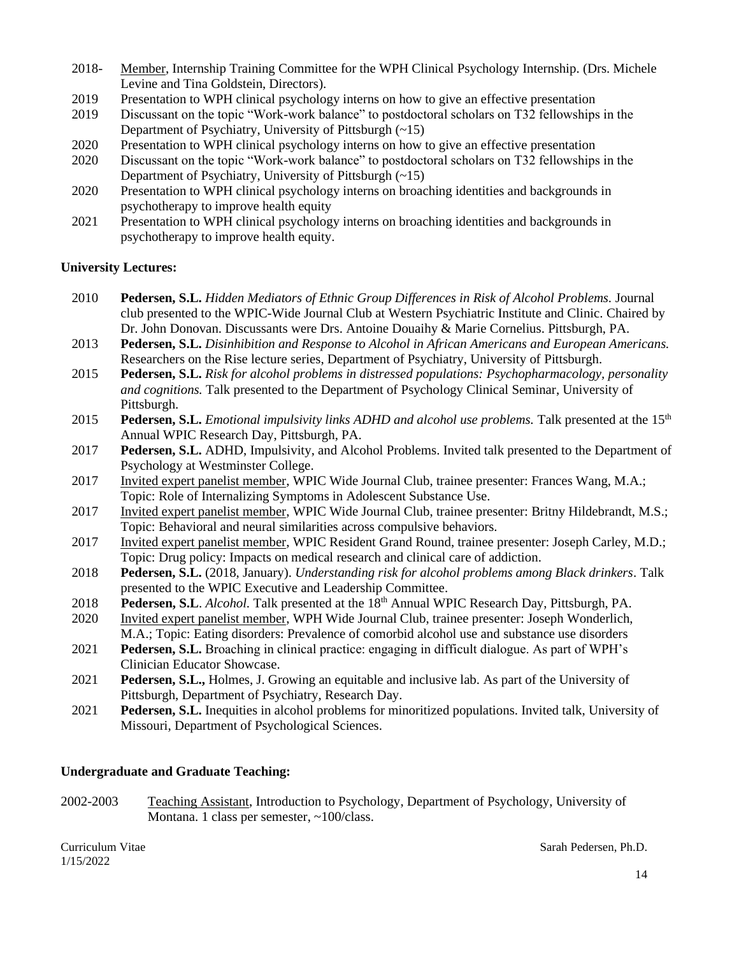- 2018- Member, Internship Training Committee for the WPH Clinical Psychology Internship. (Drs. Michele Levine and Tina Goldstein, Directors).
- 2019 Presentation to WPH clinical psychology interns on how to give an effective presentation
- 2019 Discussant on the topic "Work-work balance" to postdoctoral scholars on T32 fellowships in the Department of Psychiatry, University of Pittsburgh (~15)
- 2020 Presentation to WPH clinical psychology interns on how to give an effective presentation
- 2020 Discussant on the topic "Work-work balance" to postdoctoral scholars on T32 fellowships in the Department of Psychiatry, University of Pittsburgh (~15)
- 2020 Presentation to WPH clinical psychology interns on broaching identities and backgrounds in psychotherapy to improve health equity
- 2021 Presentation to WPH clinical psychology interns on broaching identities and backgrounds in psychotherapy to improve health equity.

### **University Lectures:**

- 2010 **Pedersen, S.L.** *Hidden Mediators of Ethnic Group Differences in Risk of Alcohol Problems.* Journal club presented to the WPIC-Wide Journal Club at Western Psychiatric Institute and Clinic. Chaired by Dr. John Donovan. Discussants were Drs. Antoine Douaihy & Marie Cornelius. Pittsburgh, PA.
- 2013 **Pedersen, S.L.** *Disinhibition and Response to Alcohol in African Americans and European Americans.* Researchers on the Rise lecture series, Department of Psychiatry, University of Pittsburgh.
- 2015 **Pedersen, S.L.** *Risk for alcohol problems in distressed populations: Psychopharmacology, personality and cognitions.* Talk presented to the Department of Psychology Clinical Seminar, University of Pittsburgh.
- 2015 **Pedersen, S.L.** *Emotional impulsivity links ADHD and alcohol use problems.* Talk presented at the 15th Annual WPIC Research Day, Pittsburgh, PA.
- 2017 **Pedersen, S.L.** ADHD, Impulsivity, and Alcohol Problems. Invited talk presented to the Department of Psychology at Westminster College.
- 2017 Invited expert panelist member, WPIC Wide Journal Club, trainee presenter: Frances Wang, M.A.; Topic: Role of Internalizing Symptoms in Adolescent Substance Use.
- 2017 Invited expert panelist member, WPIC Wide Journal Club, trainee presenter: Britny Hildebrandt, M.S.; Topic: Behavioral and neural similarities across compulsive behaviors.
- 2017 Invited expert panelist member, WPIC Resident Grand Round, trainee presenter: Joseph Carley, M.D.; Topic: Drug policy: Impacts on medical research and clinical care of addiction.
- 2018 **Pedersen, S.L.** (2018, January). *Understanding risk for alcohol problems among Black drinkers*. Talk presented to the WPIC Executive and Leadership Committee.
- 2018 Pedersen, S.L. *Alcohol*. Talk presented at the 18<sup>th</sup> Annual WPIC Research Day, Pittsburgh, PA.
- 2020 Invited expert panelist member, WPH Wide Journal Club, trainee presenter: Joseph Wonderlich, M.A.; Topic: Eating disorders: Prevalence of comorbid alcohol use and substance use disorders
- 2021 **Pedersen, S.L.** Broaching in clinical practice: engaging in difficult dialogue. As part of WPH's Clinician Educator Showcase.
- 2021 **Pedersen, S.L.,** Holmes, J. Growing an equitable and inclusive lab. As part of the University of Pittsburgh, Department of Psychiatry, Research Day.
- 2021 **Pedersen, S.L.** Inequities in alcohol problems for minoritized populations. Invited talk, University of Missouri, Department of Psychological Sciences.

#### **Undergraduate and Graduate Teaching:**

2002-2003 Teaching Assistant, Introduction to Psychology, Department of Psychology, University of Montana. 1 class per semester, ~100/class.

1/15/2022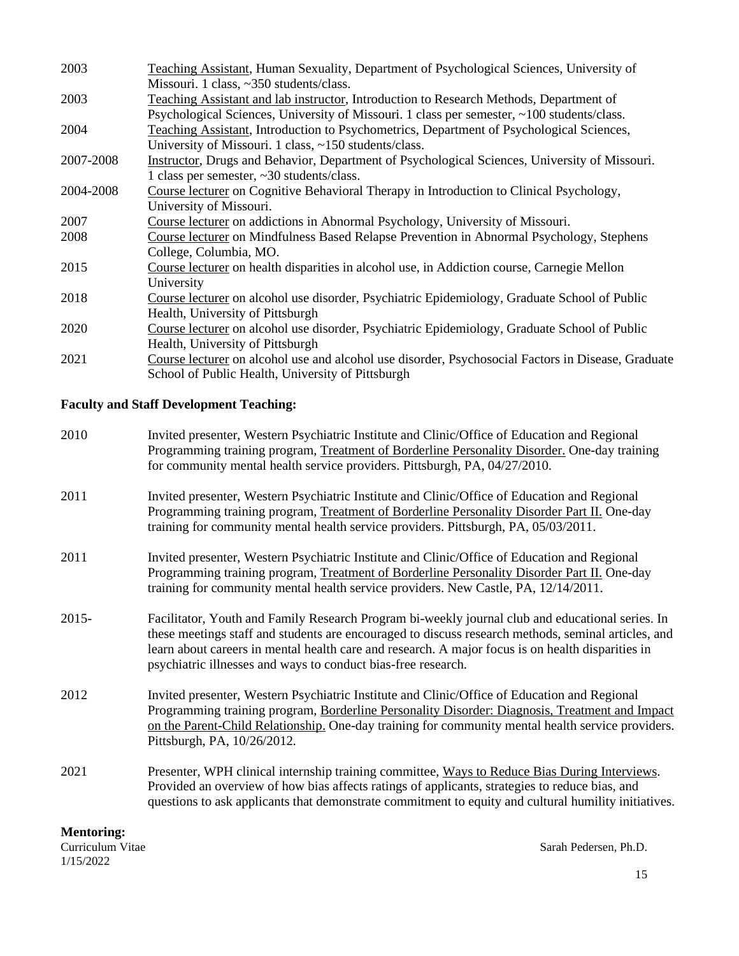| 2003      | Teaching Assistant, Human Sexuality, Department of Psychological Sciences, University of           |
|-----------|----------------------------------------------------------------------------------------------------|
|           | Missouri. 1 class, ~350 students/class.                                                            |
| 2003      | Teaching Assistant and lab instructor, Introduction to Research Methods, Department of             |
|           | Psychological Sciences, University of Missouri. 1 class per semester, ~100 students/class.         |
| 2004      | Teaching Assistant, Introduction to Psychometrics, Department of Psychological Sciences,           |
|           | University of Missouri. 1 class, ~150 students/class.                                              |
| 2007-2008 | Instructor, Drugs and Behavior, Department of Psychological Sciences, University of Missouri.      |
|           | 1 class per semester, ~30 students/class.                                                          |
| 2004-2008 | Course lecturer on Cognitive Behavioral Therapy in Introduction to Clinical Psychology,            |
|           | University of Missouri.                                                                            |
| 2007      | Course lecturer on addictions in Abnormal Psychology, University of Missouri.                      |
| 2008      | Course lecturer on Mindfulness Based Relapse Prevention in Abnormal Psychology, Stephens           |
|           | College, Columbia, MO.                                                                             |
| 2015      | Course lecturer on health disparities in alcohol use, in Addiction course, Carnegie Mellon         |
|           | University                                                                                         |
| 2018      | Course lecturer on alcohol use disorder, Psychiatric Epidemiology, Graduate School of Public       |
|           | Health, University of Pittsburgh                                                                   |
| 2020      | Course lecturer on alcohol use disorder, Psychiatric Epidemiology, Graduate School of Public       |
|           | Health, University of Pittsburgh                                                                   |
| 2021      | Course lecturer on alcohol use and alcohol use disorder, Psychosocial Factors in Disease, Graduate |
|           | School of Public Health, University of Pittsburgh                                                  |

## **Faculty and Staff Development Teaching:**

| 2010     | Invited presenter, Western Psychiatric Institute and Clinic/Office of Education and Regional<br>Programming training program, Treatment of Borderline Personality Disorder. One-day training<br>for community mental health service providers. Pittsburgh, PA, 04/27/2010.                                                                                                    |
|----------|-------------------------------------------------------------------------------------------------------------------------------------------------------------------------------------------------------------------------------------------------------------------------------------------------------------------------------------------------------------------------------|
| 2011     | Invited presenter, Western Psychiatric Institute and Clinic/Office of Education and Regional<br>Programming training program, Treatment of Borderline Personality Disorder Part II. One-day<br>training for community mental health service providers. Pittsburgh, PA, 05/03/2011.                                                                                            |
| 2011     | Invited presenter, Western Psychiatric Institute and Clinic/Office of Education and Regional<br>Programming training program, Treatment of Borderline Personality Disorder Part II. One-day<br>training for community mental health service providers. New Castle, PA, 12/14/2011.                                                                                            |
| $2015 -$ | Facilitator, Youth and Family Research Program bi-weekly journal club and educational series. In<br>these meetings staff and students are encouraged to discuss research methods, seminal articles, and<br>learn about careers in mental health care and research. A major focus is on health disparities in<br>psychiatric illnesses and ways to conduct bias-free research. |
| 2012     | Invited presenter, Western Psychiatric Institute and Clinic/Office of Education and Regional<br>Programming training program, Borderline Personality Disorder: Diagnosis, Treatment and Impact<br>on the Parent-Child Relationship. One-day training for community mental health service providers.<br>Pittsburgh, PA, 10/26/2012.                                            |
| 2021     | Presenter, WPH clinical internship training committee, Ways to Reduce Bias During Interviews.<br>Provided an overview of how bias affects ratings of applicants, strategies to reduce bias, and<br>questions to ask applicants that demonstrate commitment to equity and cultural humility initiatives.                                                                       |

## **Mentoring:**

1/15/2022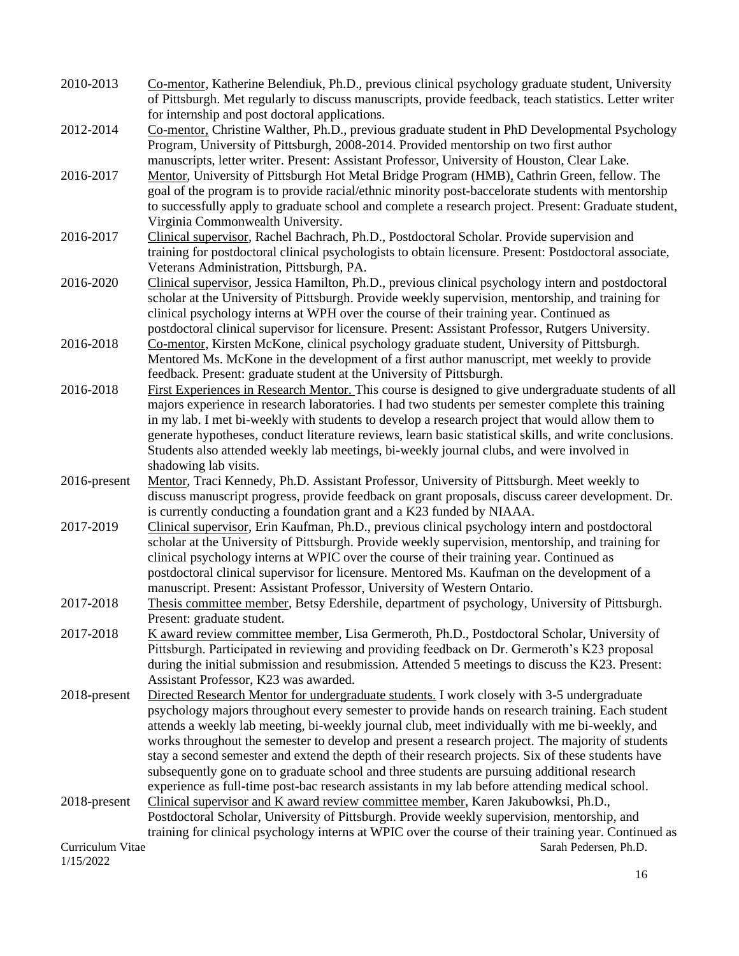| 2010-2013        | Co-mentor, Katherine Belendiuk, Ph.D., previous clinical psychology graduate student, University<br>of Pittsburgh. Met regularly to discuss manuscripts, provide feedback, teach statistics. Letter writer |
|------------------|------------------------------------------------------------------------------------------------------------------------------------------------------------------------------------------------------------|
|                  | for internship and post doctoral applications.                                                                                                                                                             |
| 2012-2014        | Co-mentor, Christine Walther, Ph.D., previous graduate student in PhD Developmental Psychology<br>Program, University of Pittsburgh, 2008-2014. Provided mentorship on two first author                    |
|                  | manuscripts, letter writer. Present: Assistant Professor, University of Houston, Clear Lake.                                                                                                               |
| 2016-2017        | Mentor, University of Pittsburgh Hot Metal Bridge Program (HMB), Cathrin Green, fellow. The                                                                                                                |
|                  | goal of the program is to provide racial/ethnic minority post-baccelorate students with mentorship                                                                                                         |
|                  | to successfully apply to graduate school and complete a research project. Present: Graduate student,                                                                                                       |
|                  | Virginia Commonwealth University.                                                                                                                                                                          |
| 2016-2017        | Clinical supervisor, Rachel Bachrach, Ph.D., Postdoctoral Scholar. Provide supervision and                                                                                                                 |
|                  | training for postdoctoral clinical psychologists to obtain licensure. Present: Postdoctoral associate,                                                                                                     |
|                  | Veterans Administration, Pittsburgh, PA.                                                                                                                                                                   |
| 2016-2020        | Clinical supervisor, Jessica Hamilton, Ph.D., previous clinical psychology intern and postdoctoral                                                                                                         |
|                  | scholar at the University of Pittsburgh. Provide weekly supervision, mentorship, and training for                                                                                                          |
|                  | clinical psychology interns at WPH over the course of their training year. Continued as                                                                                                                    |
|                  | postdoctoral clinical supervisor for licensure. Present: Assistant Professor, Rutgers University.                                                                                                          |
| 2016-2018        | Co-mentor, Kirsten McKone, clinical psychology graduate student, University of Pittsburgh.                                                                                                                 |
|                  | Mentored Ms. McKone in the development of a first author manuscript, met weekly to provide                                                                                                                 |
|                  | feedback. Present: graduate student at the University of Pittsburgh.                                                                                                                                       |
| 2016-2018        | First Experiences in Research Mentor. This course is designed to give undergraduate students of all                                                                                                        |
|                  | majors experience in research laboratories. I had two students per semester complete this training                                                                                                         |
|                  | in my lab. I met bi-weekly with students to develop a research project that would allow them to                                                                                                            |
|                  | generate hypotheses, conduct literature reviews, learn basic statistical skills, and write conclusions.                                                                                                    |
|                  | Students also attended weekly lab meetings, bi-weekly journal clubs, and were involved in                                                                                                                  |
|                  | shadowing lab visits.                                                                                                                                                                                      |
| 2016-present     | Mentor, Traci Kennedy, Ph.D. Assistant Professor, University of Pittsburgh. Meet weekly to                                                                                                                 |
|                  | discuss manuscript progress, provide feedback on grant proposals, discuss career development. Dr.<br>is currently conducting a foundation grant and a K23 funded by NIAAA.                                 |
| 2017-2019        | Clinical supervisor, Erin Kaufman, Ph.D., previous clinical psychology intern and postdoctoral                                                                                                             |
|                  | scholar at the University of Pittsburgh. Provide weekly supervision, mentorship, and training for<br>clinical psychology interns at WPIC over the course of their training year. Continued as              |
|                  | postdoctoral clinical supervisor for licensure. Mentored Ms. Kaufman on the development of a                                                                                                               |
|                  | manuscript. Present: Assistant Professor, University of Western Ontario.                                                                                                                                   |
| 2017-2018        | Thesis committee member, Betsy Edershile, department of psychology, University of Pittsburgh.                                                                                                              |
|                  | Present: graduate student.                                                                                                                                                                                 |
| 2017-2018        | K award review committee member, Lisa Germeroth, Ph.D., Postdoctoral Scholar, University of                                                                                                                |
|                  | Pittsburgh. Participated in reviewing and providing feedback on Dr. Germeroth's K23 proposal                                                                                                               |
|                  | during the initial submission and resubmission. Attended 5 meetings to discuss the K23. Present:                                                                                                           |
|                  | Assistant Professor, K23 was awarded.                                                                                                                                                                      |
| 2018-present     | Directed Research Mentor for undergraduate students. I work closely with 3-5 undergraduate                                                                                                                 |
|                  | psychology majors throughout every semester to provide hands on research training. Each student                                                                                                            |
|                  | attends a weekly lab meeting, bi-weekly journal club, meet individually with me bi-weekly, and                                                                                                             |
|                  | works throughout the semester to develop and present a research project. The majority of students                                                                                                          |
|                  | stay a second semester and extend the depth of their research projects. Six of these students have                                                                                                         |
|                  | subsequently gone on to graduate school and three students are pursuing additional research                                                                                                                |
|                  | experience as full-time post-bac research assistants in my lab before attending medical school.                                                                                                            |
| 2018-present     | Clinical supervisor and K award review committee member, Karen Jakubowksi, Ph.D.,                                                                                                                          |
|                  | Postdoctoral Scholar, University of Pittsburgh. Provide weekly supervision, mentorship, and                                                                                                                |
|                  | training for clinical psychology interns at WPIC over the course of their training year. Continued as                                                                                                      |
| Curriculum Vitae | Sarah Pedersen, Ph.D.                                                                                                                                                                                      |
| 1/15/2022        |                                                                                                                                                                                                            |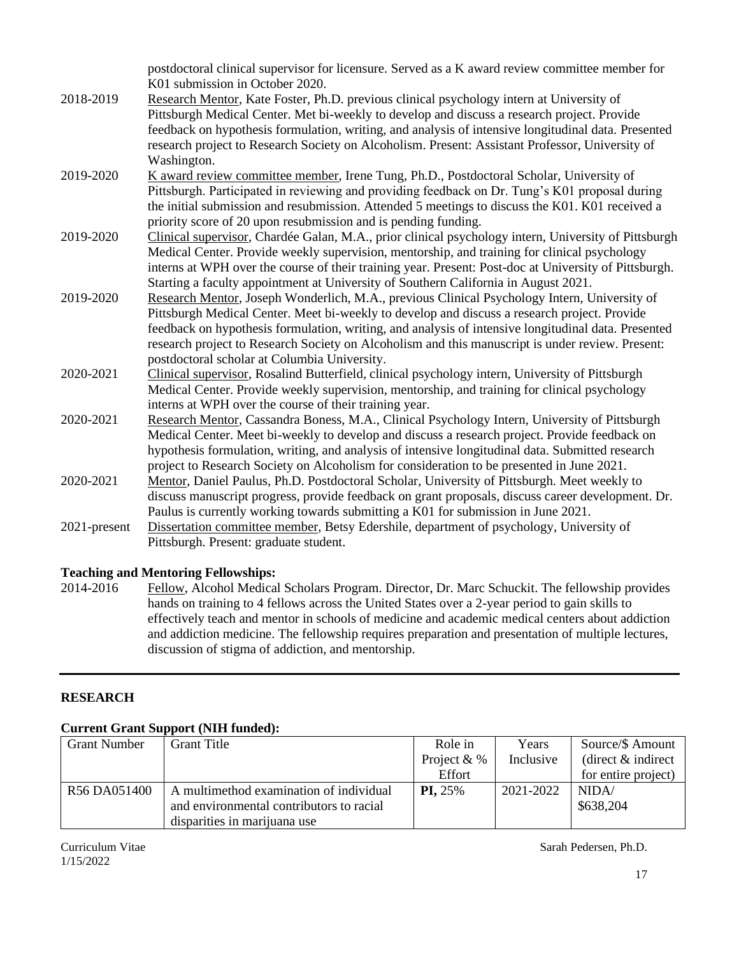|              | postdoctoral clinical supervisor for licensure. Served as a K award review committee member for<br>K01 submission in October 2020.                      |
|--------------|---------------------------------------------------------------------------------------------------------------------------------------------------------|
| 2018-2019    | Research Mentor, Kate Foster, Ph.D. previous clinical psychology intern at University of                                                                |
|              | Pittsburgh Medical Center. Met bi-weekly to develop and discuss a research project. Provide                                                             |
|              | feedback on hypothesis formulation, writing, and analysis of intensive longitudinal data. Presented                                                     |
|              | research project to Research Society on Alcoholism. Present: Assistant Professor, University of                                                         |
|              | Washington.                                                                                                                                             |
| 2019-2020    | K award review committee member, Irene Tung, Ph.D., Postdoctoral Scholar, University of                                                                 |
|              | Pittsburgh. Participated in reviewing and providing feedback on Dr. Tung's K01 proposal during                                                          |
|              | the initial submission and resubmission. Attended 5 meetings to discuss the K01. K01 received a                                                         |
|              | priority score of 20 upon resubmission and is pending funding.                                                                                          |
| 2019-2020    | Clinical supervisor, Chardée Galan, M.A., prior clinical psychology intern, University of Pittsburgh                                                    |
|              | Medical Center. Provide weekly supervision, mentorship, and training for clinical psychology                                                            |
|              | interns at WPH over the course of their training year. Present: Post-doc at University of Pittsburgh.                                                   |
|              | Starting a faculty appointment at University of Southern California in August 2021.                                                                     |
| 2019-2020    | Research Mentor, Joseph Wonderlich, M.A., previous Clinical Psychology Intern, University of                                                            |
|              | Pittsburgh Medical Center. Meet bi-weekly to develop and discuss a research project. Provide                                                            |
|              | feedback on hypothesis formulation, writing, and analysis of intensive longitudinal data. Presented                                                     |
|              | research project to Research Society on Alcoholism and this manuscript is under review. Present:                                                        |
| 2020-2021    | postdoctoral scholar at Columbia University.                                                                                                            |
|              | Clinical supervisor, Rosalind Butterfield, clinical psychology intern, University of Pittsburgh                                                         |
|              | Medical Center. Provide weekly supervision, mentorship, and training for clinical psychology                                                            |
| 2020-2021    | interns at WPH over the course of their training year.<br>Research Mentor, Cassandra Boness, M.A., Clinical Psychology Intern, University of Pittsburgh |
|              | Medical Center. Meet bi-weekly to develop and discuss a research project. Provide feedback on                                                           |
|              | hypothesis formulation, writing, and analysis of intensive longitudinal data. Submitted research                                                        |
|              | project to Research Society on Alcoholism for consideration to be presented in June 2021.                                                               |
| 2020-2021    | Mentor, Daniel Paulus, Ph.D. Postdoctoral Scholar, University of Pittsburgh. Meet weekly to                                                             |
|              | discuss manuscript progress, provide feedback on grant proposals, discuss career development. Dr.                                                       |
|              | Paulus is currently working towards submitting a K01 for submission in June 2021.                                                                       |
| 2021-present | Dissertation committee member, Betsy Edershile, department of psychology, University of                                                                 |
|              | Pittsburgh. Present: graduate student.                                                                                                                  |
|              |                                                                                                                                                         |

## **Teaching and Mentoring Fellowships:**

2014-2016 Fellow, Alcohol Medical Scholars Program. Director, Dr. Marc Schuckit. The fellowship provides hands on training to 4 fellows across the United States over a 2-year period to gain skills to effectively teach and mentor in schools of medicine and academic medical centers about addiction and addiction medicine. The fellowship requires preparation and presentation of multiple lectures, discussion of stigma of addiction, and mentorship.

## **RESEARCH**

## **Current Grant Support (NIH funded):**

| <b>Grant Number</b> | <b>Grant Title</b>                       | Role in        | Years     | Source/\$ Amount     |
|---------------------|------------------------------------------|----------------|-----------|----------------------|
|                     |                                          | Project $&$ %  | Inclusive | (direct $&$ indirect |
|                     |                                          | Effort         |           | for entire project)  |
| R56 DA051400        | A multimethod examination of individual  | <b>PI, 25%</b> | 2021-2022 | NIDA/                |
|                     | and environmental contributors to racial |                |           | \$638,204            |
|                     | disparities in marijuana use             |                |           |                      |

1/15/2022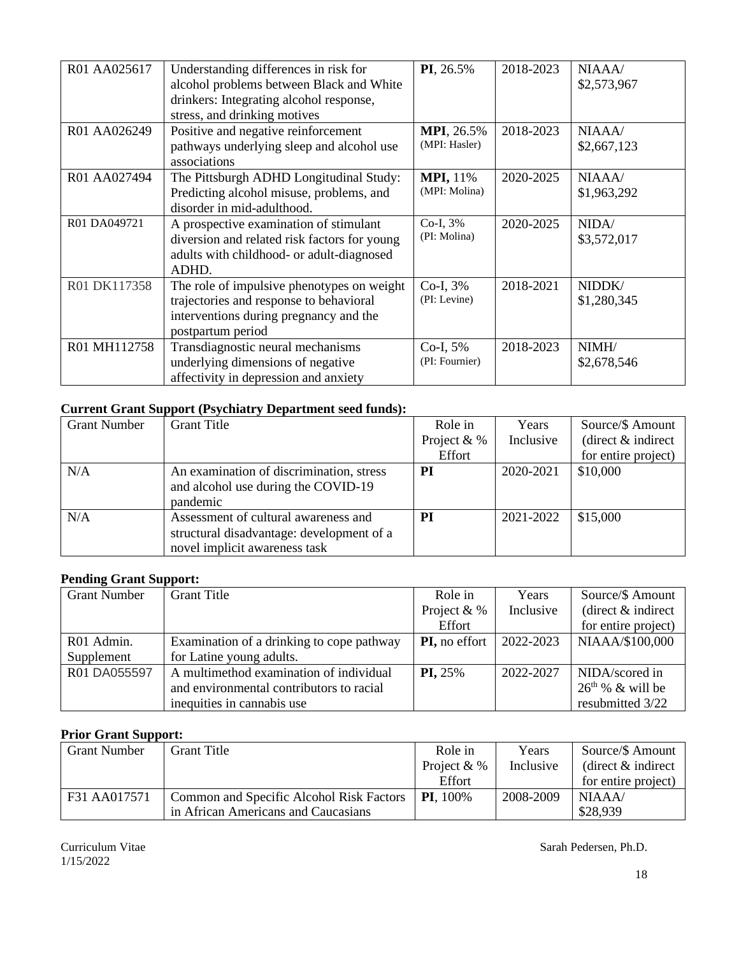| R01 AA025617 | Understanding differences in risk for<br>alcohol problems between Black and White<br>drinkers: Integrating alcohol response,<br>stress, and drinking motives | PI, 26.5%                          | 2018-2023 | NIAAA/<br>\$2,573,967 |
|--------------|--------------------------------------------------------------------------------------------------------------------------------------------------------------|------------------------------------|-----------|-----------------------|
| R01 AA026249 | Positive and negative reinforcement<br>pathways underlying sleep and alcohol use<br>associations                                                             | <b>MPI, 26.5%</b><br>(MPI: Hasler) | 2018-2023 | NIAAA/<br>\$2,667,123 |
| R01 AA027494 | The Pittsburgh ADHD Longitudinal Study:<br>Predicting alcohol misuse, problems, and<br>disorder in mid-adulthood.                                            | <b>MPI, 11%</b><br>(MPI: Molina)   | 2020-2025 | NIAAA/<br>\$1,963,292 |
| R01 DA049721 | A prospective examination of stimulant<br>diversion and related risk factors for young<br>adults with childhood- or adult-diagnosed<br>ADHD.                 | $Co-I, 3%$<br>(PI: Molina)         | 2020-2025 | NIDA/<br>\$3,572,017  |
| R01 DK117358 | The role of impulsive phenotypes on weight<br>trajectories and response to behavioral<br>interventions during pregnancy and the<br>postpartum period         | Co-I, 3%<br>(PI: Levine)           | 2018-2021 | NIDDK/<br>\$1,280,345 |
| R01 MH112758 | Transdiagnostic neural mechanisms<br>underlying dimensions of negative<br>affectivity in depression and anxiety                                              | Co-I, 5%<br>(PI: Fournier)         | 2018-2023 | NIMH/<br>\$2,678,546  |

## **Current Grant Support (Psychiatry Department seed funds):**

| <b>Grant Number</b> | <b>Grant Title</b>                        | Role in       | Years     | Source/\$ Amount     |
|---------------------|-------------------------------------------|---------------|-----------|----------------------|
|                     |                                           | Project $&$ % | Inclusive | (direct $&$ indirect |
|                     |                                           | Effort        |           | for entire project)  |
| N/A                 | An examination of discrimination, stress  | <b>PI</b>     | 2020-2021 | \$10,000             |
|                     | and alcohol use during the COVID-19       |               |           |                      |
|                     | pandemic                                  |               |           |                      |
| N/A                 | Assessment of cultural awareness and      | PI            | 2021-2022 | \$15,000             |
|                     | structural disadvantage: development of a |               |           |                      |
|                     | novel implicit awareness task             |               |           |                      |

## **Pending Grant Support:**

| <b>Grant Number</b> | <b>Grant Title</b>                        | Role in        | Years     | Source/\$ Amount     |
|---------------------|-------------------------------------------|----------------|-----------|----------------------|
|                     |                                           | Project $&$ %  | Inclusive | (direct $&$ indirect |
|                     |                                           | Effort         |           | for entire project)  |
| R01 Admin.          | Examination of a drinking to cope pathway | PI, no effort  | 2022-2023 | NIAAA/\$100,000      |
| Supplement          | for Latine young adults.                  |                |           |                      |
| R01 DA055597        | A multimethod examination of individual   | <b>PI, 25%</b> | 2022-2027 | NIDA/scored in       |
|                     | and environmental contributors to racial  |                |           | $26th$ % & will be   |
|                     | inequities in cannabis use                |                |           | resubmitted 3/22     |

## **Prior Grant Support:**

| <b>Grant Number</b> | <b>Grant Title</b>                       | Role in            | Years     | Source/\$ Amount      |
|---------------------|------------------------------------------|--------------------|-----------|-----------------------|
|                     |                                          | Project $&$ %      | Inclusive | (direct $\&$ indirect |
|                     |                                          | Effort             |           | for entire project)   |
| F31 AA017571        | Common and Specific Alcohol Risk Factors | <b>PI.</b> $100\%$ | 2008-2009 | NIAAA                 |
|                     | in African Americans and Caucasians      |                    |           | \$28,939              |

1/15/2022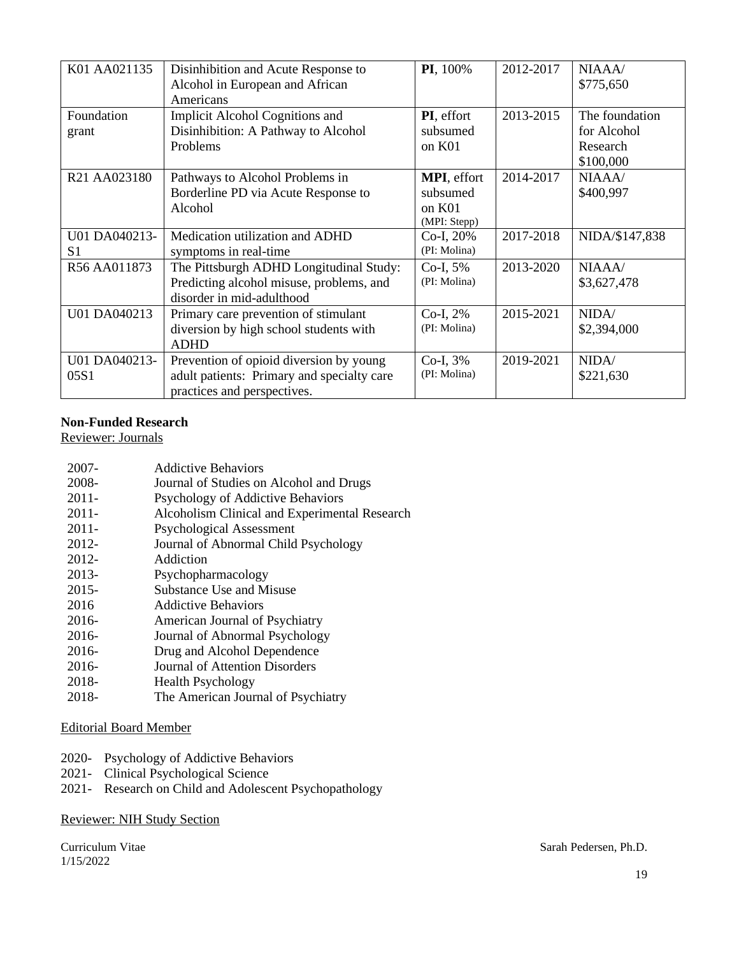| K01 AA021135          | Disinhibition and Acute Response to<br>Alcohol in European and African<br>Americans                                  | PI, 100%                                                  | 2012-2017 | NIAAA/<br>\$775,650                                    |
|-----------------------|----------------------------------------------------------------------------------------------------------------------|-----------------------------------------------------------|-----------|--------------------------------------------------------|
| Foundation<br>grant   | Implicit Alcohol Cognitions and<br>Disinhibition: A Pathway to Alcohol<br>Problems                                   | PI, effort<br>subsumed<br>on K01                          | 2013-2015 | The foundation<br>for Alcohol<br>Research<br>\$100,000 |
| R21 AA023180          | Pathways to Alcohol Problems in<br>Borderline PD via Acute Response to<br>Alcohol                                    | <b>MPI</b> , effort<br>subsumed<br>on K01<br>(MPI: Stepp) | 2014-2017 | NIAAA/<br>\$400,997                                    |
| U01 DA040213-<br>S1   | Medication utilization and ADHD<br>symptoms in real-time                                                             | Co-I, 20%<br>(PI: Molina)                                 | 2017-2018 | NIDA/\$147,838                                         |
| R56 AA011873          | The Pittsburgh ADHD Longitudinal Study:<br>Predicting alcohol misuse, problems, and<br>disorder in mid-adulthood     | Co-I, 5%<br>(PI: Molina)                                  | 2013-2020 | NIAAA/<br>\$3,627,478                                  |
| U01 DA040213          | Primary care prevention of stimulant<br>diversion by high school students with<br><b>ADHD</b>                        | Co-I, 2%<br>(PI: Molina)                                  | 2015-2021 | NIDA/<br>\$2,394,000                                   |
| U01 DA040213-<br>05S1 | Prevention of opioid diversion by young<br>adult patients: Primary and specialty care<br>practices and perspectives. | $Co-I, 3%$<br>(PI: Molina)                                | 2019-2021 | NIDA/<br>\$221,630                                     |

## **Non-Funded Research**

Reviewer: Journals

| 2007-    | <b>Addictive Behaviors</b>                    |
|----------|-----------------------------------------------|
| 2008-    | Journal of Studies on Alcohol and Drugs       |
| $2011 -$ | Psychology of Addictive Behaviors             |
| $2011 -$ | Alcoholism Clinical and Experimental Research |
| $2011 -$ | <b>Psychological Assessment</b>               |
| 2012-    | Journal of Abnormal Child Psychology          |
| 2012-    | Addiction                                     |
| 2013-    | Psychopharmacology                            |
| 2015-    | Substance Use and Misuse                      |
| 2016     | <b>Addictive Behaviors</b>                    |
| 2016-    | American Journal of Psychiatry                |
| 2016-    | Journal of Abnormal Psychology                |
| 2016-    | Drug and Alcohol Dependence                   |
| 2016-    | Journal of Attention Disorders                |
| 2018-    | <b>Health Psychology</b>                      |
| 2018-    | The American Journal of Psychiatry            |
|          |                                               |

## Editorial Board Member

- 2020- Psychology of Addictive Behaviors
- 2021- Clinical Psychological Science
- 2021- Research on Child and Adolescent Psychopathology

### Reviewer: NIH Study Section

1/15/2022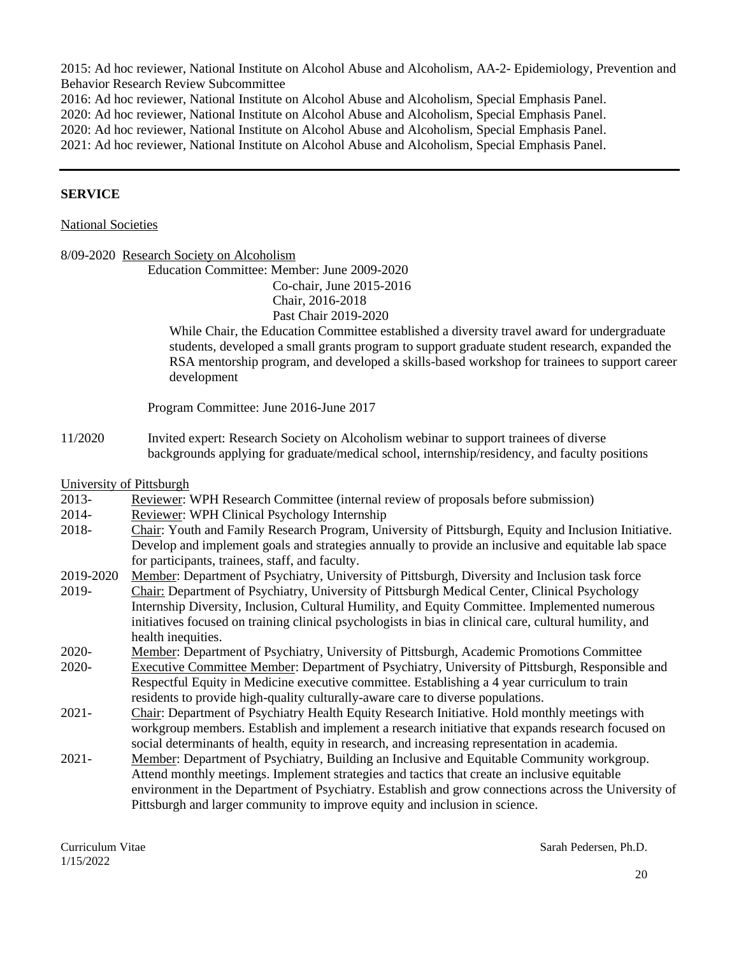2015: Ad hoc reviewer, National Institute on Alcohol Abuse and Alcoholism, AA-2- Epidemiology, Prevention and Behavior Research Review Subcommittee

2016: Ad hoc reviewer, National Institute on Alcohol Abuse and Alcoholism, Special Emphasis Panel.

2020: Ad hoc reviewer, National Institute on Alcohol Abuse and Alcoholism, Special Emphasis Panel.

2020: Ad hoc reviewer, National Institute on Alcohol Abuse and Alcoholism, Special Emphasis Panel.

2021: Ad hoc reviewer, National Institute on Alcohol Abuse and Alcoholism, Special Emphasis Panel.

### **SERVICE**

#### National Societies

|           | 8/09-2020 Research Society on Alcoholism                                                                                                                                                                                                                                                                    |
|-----------|-------------------------------------------------------------------------------------------------------------------------------------------------------------------------------------------------------------------------------------------------------------------------------------------------------------|
|           | Education Committee: Member: June 2009-2020                                                                                                                                                                                                                                                                 |
|           | Co-chair, June 2015-2016                                                                                                                                                                                                                                                                                    |
|           | Chair, 2016-2018                                                                                                                                                                                                                                                                                            |
|           | Past Chair 2019-2020                                                                                                                                                                                                                                                                                        |
|           | While Chair, the Education Committee established a diversity travel award for undergraduate<br>students, developed a small grants program to support graduate student research, expanded the<br>RSA mentorship program, and developed a skills-based workshop for trainees to support career<br>development |
|           | Program Committee: June 2016-June 2017                                                                                                                                                                                                                                                                      |
| 11/2020   | Invited expert: Research Society on Alcoholism webinar to support trainees of diverse                                                                                                                                                                                                                       |
|           | backgrounds applying for graduate/medical school, internship/residency, and faculty positions                                                                                                                                                                                                               |
|           | University of Pittsburgh                                                                                                                                                                                                                                                                                    |
| 2013-     | Reviewer: WPH Research Committee (internal review of proposals before submission)                                                                                                                                                                                                                           |
| 2014-     | Reviewer: WPH Clinical Psychology Internship                                                                                                                                                                                                                                                                |
| 2018-     | Chair: Youth and Family Research Program, University of Pittsburgh, Equity and Inclusion Initiative.                                                                                                                                                                                                        |
|           | Develop and implement goals and strategies annually to provide an inclusive and equitable lab space                                                                                                                                                                                                         |
|           | for participants, trainees, staff, and faculty.                                                                                                                                                                                                                                                             |
| 2019-2020 | Member: Department of Psychiatry, University of Pittsburgh, Diversity and Inclusion task force                                                                                                                                                                                                              |
| 2019-     | Chair: Department of Psychiatry, University of Pittsburgh Medical Center, Clinical Psychology                                                                                                                                                                                                               |
|           | Internship Diversity, Inclusion, Cultural Humility, and Equity Committee. Implemented numerous                                                                                                                                                                                                              |
|           | initiatives focused on training clinical psychologists in bias in clinical care, cultural humility, and                                                                                                                                                                                                     |
|           | health inequities.                                                                                                                                                                                                                                                                                          |
| 2020-     | Member: Department of Psychiatry, University of Pittsburgh, Academic Promotions Committee                                                                                                                                                                                                                   |
| 2020-     | Executive Committee Member: Department of Psychiatry, University of Pittsburgh, Responsible and                                                                                                                                                                                                             |
|           | Respectful Equity in Medicine executive committee. Establishing a 4 year curriculum to train                                                                                                                                                                                                                |
|           | residents to provide high-quality culturally-aware care to diverse populations.                                                                                                                                                                                                                             |
| $2021 -$  | Chair: Department of Psychiatry Health Equity Research Initiative. Hold monthly meetings with                                                                                                                                                                                                               |
|           | workgroup members. Establish and implement a research initiative that expands research focused on                                                                                                                                                                                                           |
|           | social determinants of health, equity in research, and increasing representation in academia.                                                                                                                                                                                                               |
| $2021 -$  | Member: Department of Psychiatry, Building an Inclusive and Equitable Community workgroup.                                                                                                                                                                                                                  |
|           | Attend monthly meetings. Implement strategies and tactics that create an inclusive equitable                                                                                                                                                                                                                |
|           | environment in the Department of Psychiatry. Establish and grow connections across the University of                                                                                                                                                                                                        |
|           | Pittsburgh and larger community to improve equity and inclusion in science.                                                                                                                                                                                                                                 |